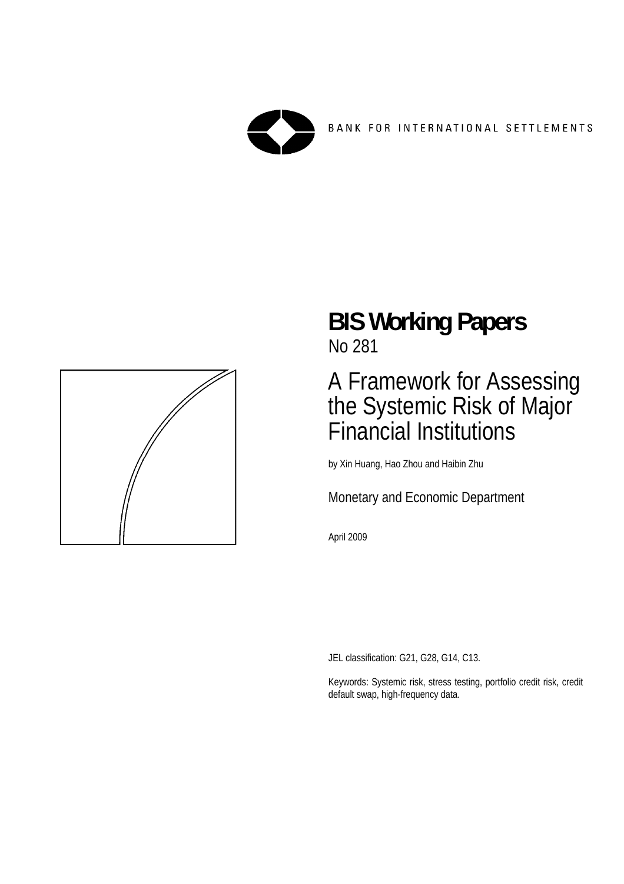



# **BIS Working Papers**  No 281

# A Framework for Assessing the Systemic Risk of Major Financial Institutions

by Xin Huang, Hao Zhou and Haibin Zhu

Monetary and Economic Department

April 2009

JEL classification: G21, G28, G14, C13.

Keywords: Systemic risk, stress testing, portfolio credit risk, credit default swap, high-frequency data.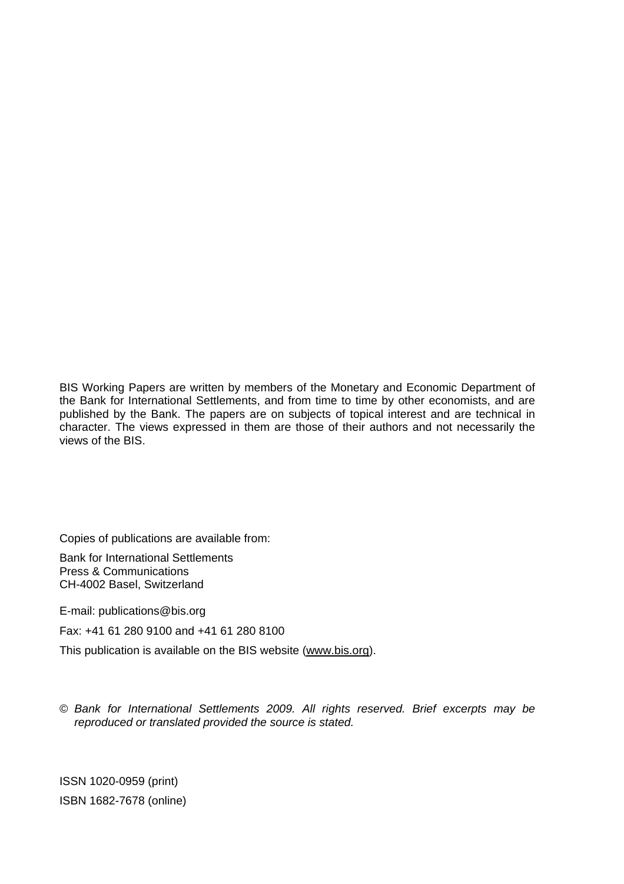BIS Working Papers are written by members of the Monetary and Economic Department of the Bank for International Settlements, and from time to time by other economists, and are published by the Bank. The papers are on subjects of topical interest and are technical in character. The views expressed in them are those of their authors and not necessarily the views of the BIS.

Copies of publications are available from:

Bank for International Settlements Press & Communications CH-4002 Basel, Switzerland

E-mail: publications@bis.org

Fax: +41 61 280 9100 and +41 61 280 8100

This publication is available on the BIS website (www.bis.org).

© *Bank for International Settlements 2009. All rights reserved. Brief excerpts may be reproduced or translated provided the source is stated.*

ISSN 1020-0959 (print) ISBN 1682-7678 (online)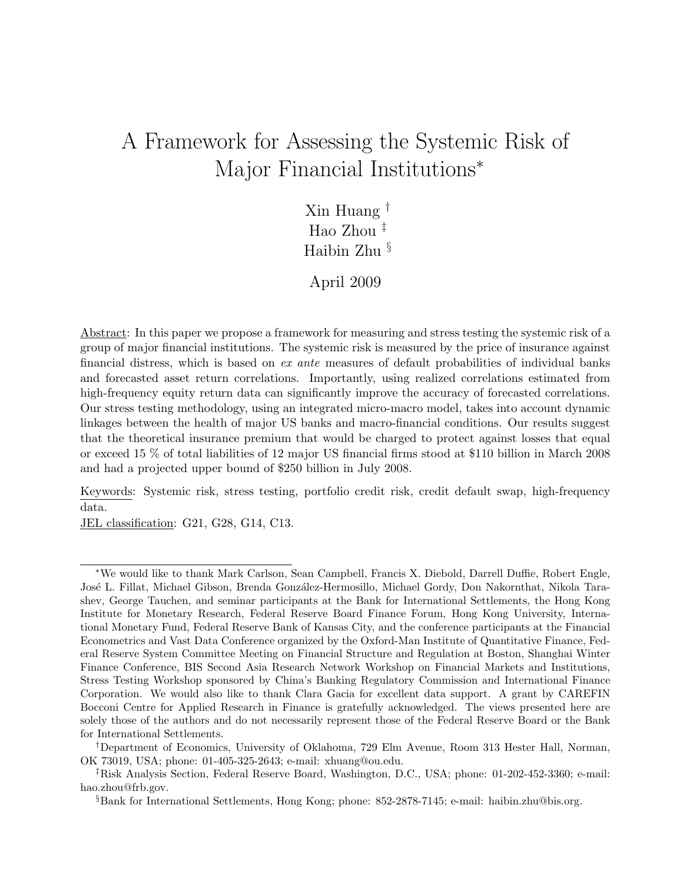# A Framework for Assessing the Systemic Risk of Major Financial Institutions<sup>∗</sup>

Xin Huang † Hao Zhou ‡ Haibin Zhu §

April 2009

Abstract: In this paper we propose a framework for measuring and stress testing the systemic risk of a group of major financial institutions. The systemic risk is measured by the price of insurance against financial distress, which is based on ex ante measures of default probabilities of individual banks and forecasted asset return correlations. Importantly, using realized correlations estimated from high-frequency equity return data can significantly improve the accuracy of forecasted correlations. Our stress testing methodology, using an integrated micro-macro model, takes into account dynamic linkages between the health of major US banks and macro-financial conditions. Our results suggest that the theoretical insurance premium that would be charged to protect against losses that equal or exceed 15 % of total liabilities of 12 major US financial firms stood at \$110 billion in March 2008 and had a projected upper bound of \$250 billion in July 2008.

Keywords: Systemic risk, stress testing, portfolio credit risk, credit default swap, high-frequency data.

JEL classification: G21, G28, G14, C13.

<sup>∗</sup>We would like to thank Mark Carlson, Sean Campbell, Francis X. Diebold, Darrell Duffie, Robert Engle, José L. Fillat, Michael Gibson, Brenda González-Hermosillo, Michael Gordy, Don Nakornthat, Nikola Tarashev, George Tauchen, and seminar participants at the Bank for International Settlements, the Hong Kong Institute for Monetary Research, Federal Reserve Board Finance Forum, Hong Kong University, International Monetary Fund, Federal Reserve Bank of Kansas City, and the conference participants at the Financial Econometrics and Vast Data Conference organized by the Oxford-Man Institute of Quantitative Finance, Federal Reserve System Committee Meeting on Financial Structure and Regulation at Boston, Shanghai Winter Finance Conference, BIS Second Asia Research Network Workshop on Financial Markets and Institutions, Stress Testing Workshop sponsored by China's Banking Regulatory Commission and International Finance Corporation. We would also like to thank Clara Gacia for excellent data support. A grant by CAREFIN Bocconi Centre for Applied Research in Finance is gratefully acknowledged. The views presented here are solely those of the authors and do not necessarily represent those of the Federal Reserve Board or the Bank for International Settlements.

<sup>†</sup>Department of Economics, University of Oklahoma, 729 Elm Avenue, Room 313 Hester Hall, Norman, OK 73019, USA; phone: 01-405-325-2643; e-mail: xhuang@ou.edu.

<sup>‡</sup>Risk Analysis Section, Federal Reserve Board, Washington, D.C., USA; phone: 01-202-452-3360; e-mail: hao.zhou@frb.gov.

<sup>§</sup>Bank for International Settlements, Hong Kong; phone: 852-2878-7145; e-mail: haibin.zhu@bis.org.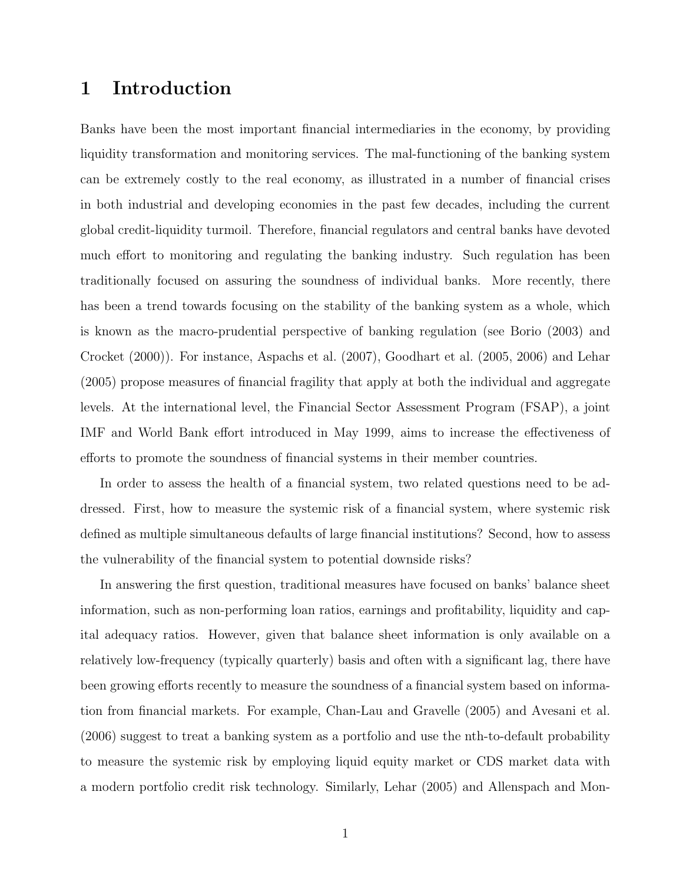# 1 Introduction

Banks have been the most important financial intermediaries in the economy, by providing liquidity transformation and monitoring services. The mal-functioning of the banking system can be extremely costly to the real economy, as illustrated in a number of financial crises in both industrial and developing economies in the past few decades, including the current global credit-liquidity turmoil. Therefore, financial regulators and central banks have devoted much effort to monitoring and regulating the banking industry. Such regulation has been traditionally focused on assuring the soundness of individual banks. More recently, there has been a trend towards focusing on the stability of the banking system as a whole, which is known as the macro-prudential perspective of banking regulation (see Borio (2003) and Crocket (2000)). For instance, Aspachs et al. (2007), Goodhart et al. (2005, 2006) and Lehar (2005) propose measures of financial fragility that apply at both the individual and aggregate levels. At the international level, the Financial Sector Assessment Program (FSAP), a joint IMF and World Bank effort introduced in May 1999, aims to increase the effectiveness of efforts to promote the soundness of financial systems in their member countries.

In order to assess the health of a financial system, two related questions need to be addressed. First, how to measure the systemic risk of a financial system, where systemic risk defined as multiple simultaneous defaults of large financial institutions? Second, how to assess the vulnerability of the financial system to potential downside risks?

In answering the first question, traditional measures have focused on banks' balance sheet information, such as non-performing loan ratios, earnings and profitability, liquidity and capital adequacy ratios. However, given that balance sheet information is only available on a relatively low-frequency (typically quarterly) basis and often with a significant lag, there have been growing efforts recently to measure the soundness of a financial system based on information from financial markets. For example, Chan-Lau and Gravelle (2005) and Avesani et al. (2006) suggest to treat a banking system as a portfolio and use the nth-to-default probability to measure the systemic risk by employing liquid equity market or CDS market data with a modern portfolio credit risk technology. Similarly, Lehar (2005) and Allenspach and Mon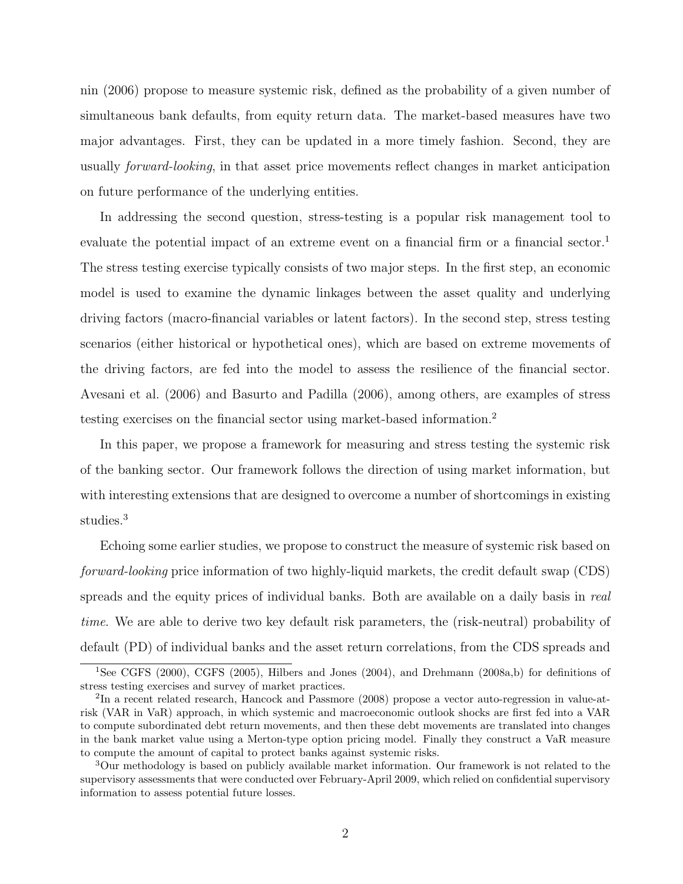nin (2006) propose to measure systemic risk, defined as the probability of a given number of simultaneous bank defaults, from equity return data. The market-based measures have two major advantages. First, they can be updated in a more timely fashion. Second, they are usually forward-looking, in that asset price movements reflect changes in market anticipation on future performance of the underlying entities.

In addressing the second question, stress-testing is a popular risk management tool to evaluate the potential impact of an extreme event on a financial firm or a financial sector.<sup>1</sup> The stress testing exercise typically consists of two major steps. In the first step, an economic model is used to examine the dynamic linkages between the asset quality and underlying driving factors (macro-financial variables or latent factors). In the second step, stress testing scenarios (either historical or hypothetical ones), which are based on extreme movements of the driving factors, are fed into the model to assess the resilience of the financial sector. Avesani et al. (2006) and Basurto and Padilla (2006), among others, are examples of stress testing exercises on the financial sector using market-based information.<sup>2</sup>

In this paper, we propose a framework for measuring and stress testing the systemic risk of the banking sector. Our framework follows the direction of using market information, but with interesting extensions that are designed to overcome a number of shortcomings in existing studies.<sup>3</sup>

Echoing some earlier studies, we propose to construct the measure of systemic risk based on forward-looking price information of two highly-liquid markets, the credit default swap (CDS) spreads and the equity prices of individual banks. Both are available on a daily basis in real time. We are able to derive two key default risk parameters, the (risk-neutral) probability of default (PD) of individual banks and the asset return correlations, from the CDS spreads and

<sup>&</sup>lt;sup>1</sup>See CGFS (2000), CGFS (2005), Hilbers and Jones (2004), and Drehmann (2008a,b) for definitions of stress testing exercises and survey of market practices.

<sup>2</sup> In a recent related research, Hancock and Passmore (2008) propose a vector auto-regression in value-atrisk (VAR in VaR) approach, in which systemic and macroeconomic outlook shocks are first fed into a VAR to compute subordinated debt return movements, and then these debt movements are translated into changes in the bank market value using a Merton-type option pricing model. Finally they construct a VaR measure to compute the amount of capital to protect banks against systemic risks.

<sup>3</sup>Our methodology is based on publicly available market information. Our framework is not related to the supervisory assessments that were conducted over February-April 2009, which relied on confidential supervisory information to assess potential future losses.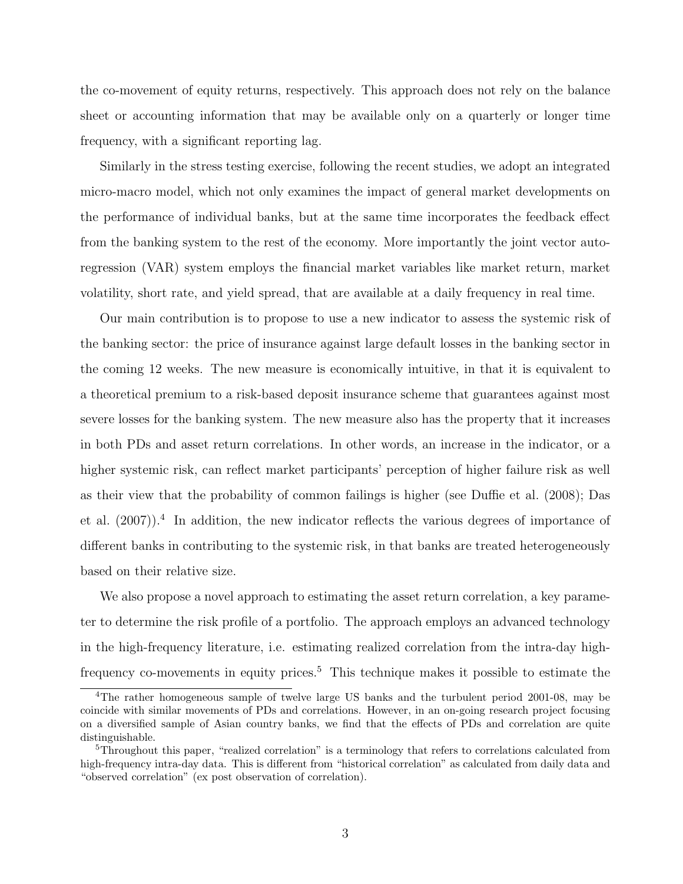the co-movement of equity returns, respectively. This approach does not rely on the balance sheet or accounting information that may be available only on a quarterly or longer time frequency, with a significant reporting lag.

Similarly in the stress testing exercise, following the recent studies, we adopt an integrated micro-macro model, which not only examines the impact of general market developments on the performance of individual banks, but at the same time incorporates the feedback effect from the banking system to the rest of the economy. More importantly the joint vector autoregression (VAR) system employs the financial market variables like market return, market volatility, short rate, and yield spread, that are available at a daily frequency in real time.

Our main contribution is to propose to use a new indicator to assess the systemic risk of the banking sector: the price of insurance against large default losses in the banking sector in the coming 12 weeks. The new measure is economically intuitive, in that it is equivalent to a theoretical premium to a risk-based deposit insurance scheme that guarantees against most severe losses for the banking system. The new measure also has the property that it increases in both PDs and asset return correlations. In other words, an increase in the indicator, or a higher systemic risk, can reflect market participants' perception of higher failure risk as well as their view that the probability of common failings is higher (see Duffie et al. (2008); Das et al.  $(2007)$ <sup>4</sup>. In addition, the new indicator reflects the various degrees of importance of different banks in contributing to the systemic risk, in that banks are treated heterogeneously based on their relative size.

We also propose a novel approach to estimating the asset return correlation, a key parameter to determine the risk profile of a portfolio. The approach employs an advanced technology in the high-frequency literature, i.e. estimating realized correlation from the intra-day highfrequency co-movements in equity prices.<sup>5</sup> This technique makes it possible to estimate the

<sup>4</sup>The rather homogeneous sample of twelve large US banks and the turbulent period 2001-08, may be coincide with similar movements of PDs and correlations. However, in an on-going research project focusing on a diversified sample of Asian country banks, we find that the effects of PDs and correlation are quite distinguishable.

<sup>&</sup>lt;sup>5</sup>Throughout this paper, "realized correlation" is a terminology that refers to correlations calculated from high-frequency intra-day data. This is different from "historical correlation" as calculated from daily data and "observed correlation" (ex post observation of correlation).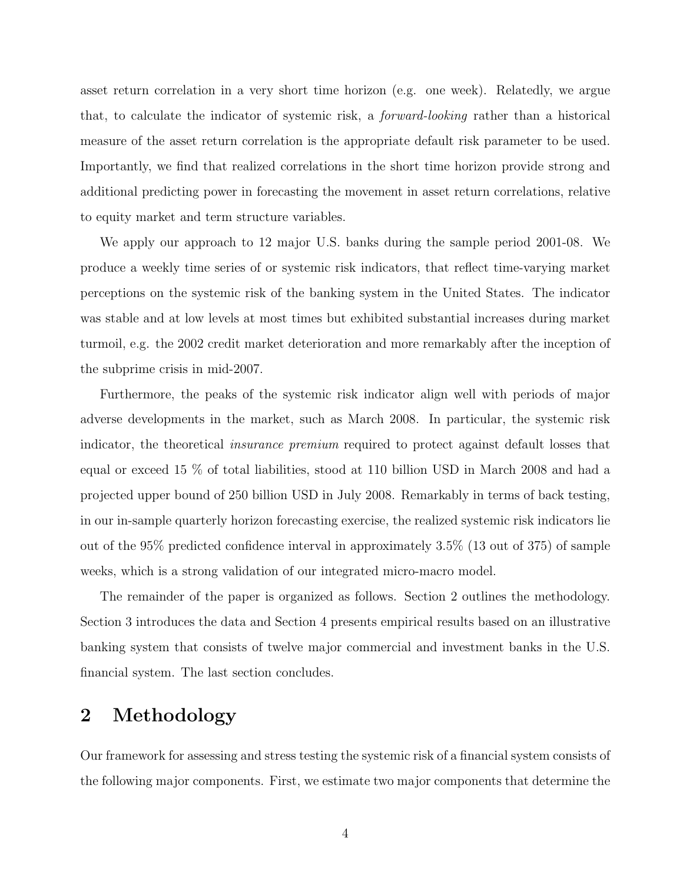asset return correlation in a very short time horizon (e.g. one week). Relatedly, we argue that, to calculate the indicator of systemic risk, a forward-looking rather than a historical measure of the asset return correlation is the appropriate default risk parameter to be used. Importantly, we find that realized correlations in the short time horizon provide strong and additional predicting power in forecasting the movement in asset return correlations, relative to equity market and term structure variables.

We apply our approach to 12 major U.S. banks during the sample period 2001-08. We produce a weekly time series of or systemic risk indicators, that reflect time-varying market perceptions on the systemic risk of the banking system in the United States. The indicator was stable and at low levels at most times but exhibited substantial increases during market turmoil, e.g. the 2002 credit market deterioration and more remarkably after the inception of the subprime crisis in mid-2007.

Furthermore, the peaks of the systemic risk indicator align well with periods of major adverse developments in the market, such as March 2008. In particular, the systemic risk indicator, the theoretical insurance premium required to protect against default losses that equal or exceed 15 % of total liabilities, stood at 110 billion USD in March 2008 and had a projected upper bound of 250 billion USD in July 2008. Remarkably in terms of back testing, in our in-sample quarterly horizon forecasting exercise, the realized systemic risk indicators lie out of the 95% predicted confidence interval in approximately 3.5% (13 out of 375) of sample weeks, which is a strong validation of our integrated micro-macro model.

The remainder of the paper is organized as follows. Section 2 outlines the methodology. Section 3 introduces the data and Section 4 presents empirical results based on an illustrative banking system that consists of twelve major commercial and investment banks in the U.S. financial system. The last section concludes.

# 2 Methodology

Our framework for assessing and stress testing the systemic risk of a financial system consists of the following major components. First, we estimate two major components that determine the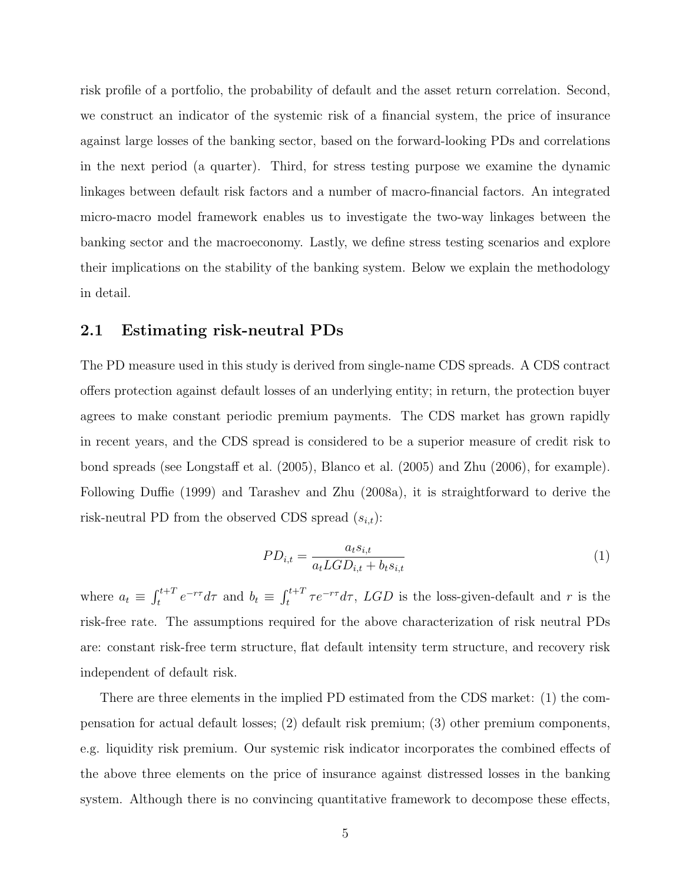risk profile of a portfolio, the probability of default and the asset return correlation. Second, we construct an indicator of the systemic risk of a financial system, the price of insurance against large losses of the banking sector, based on the forward-looking PDs and correlations in the next period (a quarter). Third, for stress testing purpose we examine the dynamic linkages between default risk factors and a number of macro-financial factors. An integrated micro-macro model framework enables us to investigate the two-way linkages between the banking sector and the macroeconomy. Lastly, we define stress testing scenarios and explore their implications on the stability of the banking system. Below we explain the methodology in detail.

### 2.1 Estimating risk-neutral PDs

The PD measure used in this study is derived from single-name CDS spreads. A CDS contract offers protection against default losses of an underlying entity; in return, the protection buyer agrees to make constant periodic premium payments. The CDS market has grown rapidly in recent years, and the CDS spread is considered to be a superior measure of credit risk to bond spreads (see Longstaff et al. (2005), Blanco et al. (2005) and Zhu (2006), for example). Following Duffie (1999) and Tarashev and Zhu (2008a), it is straightforward to derive the risk-neutral PD from the observed CDS spread  $(s_{i,t})$ :

$$
PD_{i,t} = \frac{a_t s_{i,t}}{a_t LGD_{i,t} + b_t s_{i,t}}\tag{1}
$$

where  $a_t \equiv \int_t^{t+T} e^{-r\tau} d\tau$  and  $b_t \equiv \int_t^{t+T} \tau e^{-r\tau} d\tau$ , LGD is the loss-given-default and r is the risk-free rate. The assumptions required for the above characterization of risk neutral PDs are: constant risk-free term structure, flat default intensity term structure, and recovery risk independent of default risk.

There are three elements in the implied PD estimated from the CDS market: (1) the compensation for actual default losses; (2) default risk premium; (3) other premium components, e.g. liquidity risk premium. Our systemic risk indicator incorporates the combined effects of the above three elements on the price of insurance against distressed losses in the banking system. Although there is no convincing quantitative framework to decompose these effects,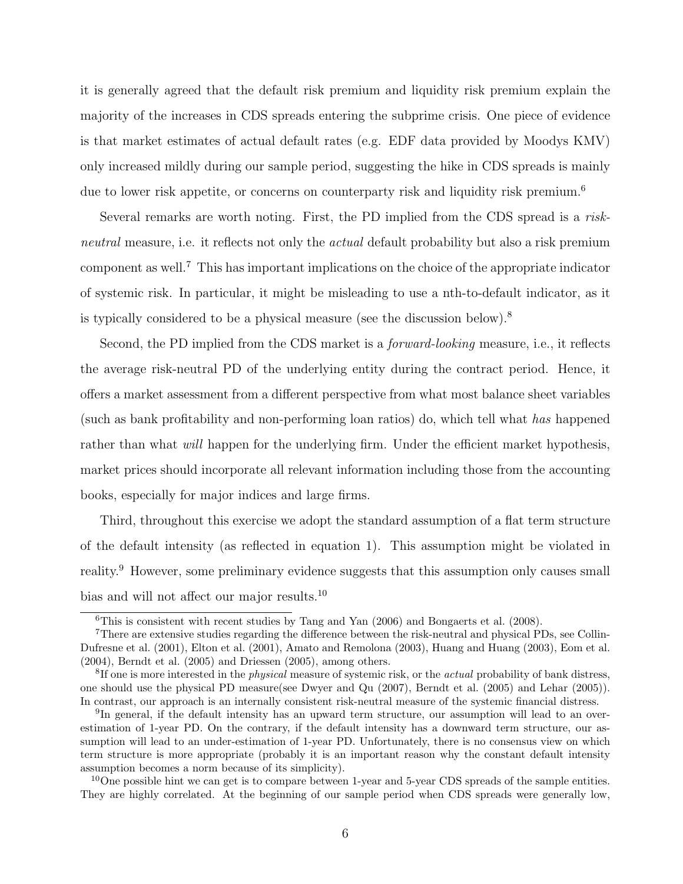it is generally agreed that the default risk premium and liquidity risk premium explain the majority of the increases in CDS spreads entering the subprime crisis. One piece of evidence is that market estimates of actual default rates (e.g. EDF data provided by Moodys KMV) only increased mildly during our sample period, suggesting the hike in CDS spreads is mainly due to lower risk appetite, or concerns on counterparty risk and liquidity risk premium.<sup>6</sup>

Several remarks are worth noting. First, the PD implied from the CDS spread is a riskneutral measure, i.e. it reflects not only the *actual* default probability but also a risk premium component as well.<sup>7</sup> This has important implications on the choice of the appropriate indicator of systemic risk. In particular, it might be misleading to use a nth-to-default indicator, as it is typically considered to be a physical measure (see the discussion below).<sup>8</sup>

Second, the PD implied from the CDS market is a *forward-looking* measure, i.e., it reflects the average risk-neutral PD of the underlying entity during the contract period. Hence, it offers a market assessment from a different perspective from what most balance sheet variables (such as bank profitability and non-performing loan ratios) do, which tell what has happened rather than what *will* happen for the underlying firm. Under the efficient market hypothesis, market prices should incorporate all relevant information including those from the accounting books, especially for major indices and large firms.

Third, throughout this exercise we adopt the standard assumption of a flat term structure of the default intensity (as reflected in equation 1). This assumption might be violated in reality.<sup>9</sup> However, some preliminary evidence suggests that this assumption only causes small bias and will not affect our major results.<sup>10</sup>

<sup>6</sup>This is consistent with recent studies by Tang and Yan (2006) and Bongaerts et al. (2008).

<sup>7</sup>There are extensive studies regarding the difference between the risk-neutral and physical PDs, see Collin-Dufresne et al. (2001), Elton et al. (2001), Amato and Remolona (2003), Huang and Huang (2003), Eom et al. (2004), Berndt et al. (2005) and Driessen (2005), among others.

<sup>&</sup>lt;sup>8</sup>If one is more interested in the *physical* measure of systemic risk, or the *actual* probability of bank distress, one should use the physical PD measure(see Dwyer and Qu (2007), Berndt et al. (2005) and Lehar (2005)). In contrast, our approach is an internally consistent risk-neutral measure of the systemic financial distress.

<sup>&</sup>lt;sup>9</sup>In general, if the default intensity has an upward term structure, our assumption will lead to an overestimation of 1-year PD. On the contrary, if the default intensity has a downward term structure, our assumption will lead to an under-estimation of 1-year PD. Unfortunately, there is no consensus view on which term structure is more appropriate (probably it is an important reason why the constant default intensity assumption becomes a norm because of its simplicity).

<sup>&</sup>lt;sup>10</sup>One possible hint we can get is to compare between 1-year and 5-year CDS spreads of the sample entities. They are highly correlated. At the beginning of our sample period when CDS spreads were generally low,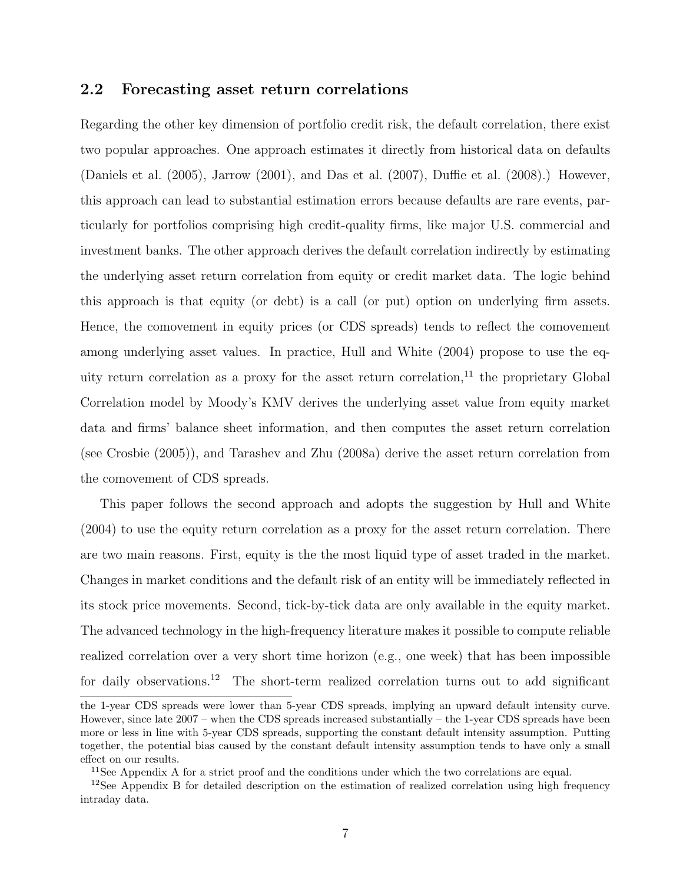### 2.2 Forecasting asset return correlations

Regarding the other key dimension of portfolio credit risk, the default correlation, there exist two popular approaches. One approach estimates it directly from historical data on defaults (Daniels et al. (2005), Jarrow (2001), and Das et al. (2007), Duffie et al. (2008).) However, this approach can lead to substantial estimation errors because defaults are rare events, particularly for portfolios comprising high credit-quality firms, like major U.S. commercial and investment banks. The other approach derives the default correlation indirectly by estimating the underlying asset return correlation from equity or credit market data. The logic behind this approach is that equity (or debt) is a call (or put) option on underlying firm assets. Hence, the comovement in equity prices (or CDS spreads) tends to reflect the comovement among underlying asset values. In practice, Hull and White (2004) propose to use the equity return correlation as a proxy for the asset return correlation, $^{11}$  the proprietary Global Correlation model by Moody's KMV derives the underlying asset value from equity market data and firms' balance sheet information, and then computes the asset return correlation (see Crosbie (2005)), and Tarashev and Zhu (2008a) derive the asset return correlation from the comovement of CDS spreads.

This paper follows the second approach and adopts the suggestion by Hull and White (2004) to use the equity return correlation as a proxy for the asset return correlation. There are two main reasons. First, equity is the the most liquid type of asset traded in the market. Changes in market conditions and the default risk of an entity will be immediately reflected in its stock price movements. Second, tick-by-tick data are only available in the equity market. The advanced technology in the high-frequency literature makes it possible to compute reliable realized correlation over a very short time horizon (e.g., one week) that has been impossible for daily observations.<sup>12</sup> The short-term realized correlation turns out to add significant

the 1-year CDS spreads were lower than 5-year CDS spreads, implying an upward default intensity curve. However, since late 2007 – when the CDS spreads increased substantially – the 1-year CDS spreads have been more or less in line with 5-year CDS spreads, supporting the constant default intensity assumption. Putting together, the potential bias caused by the constant default intensity assumption tends to have only a small effect on our results.

<sup>&</sup>lt;sup>11</sup>See Appendix A for a strict proof and the conditions under which the two correlations are equal.

<sup>&</sup>lt;sup>12</sup>See Appendix B for detailed description on the estimation of realized correlation using high frequency intraday data.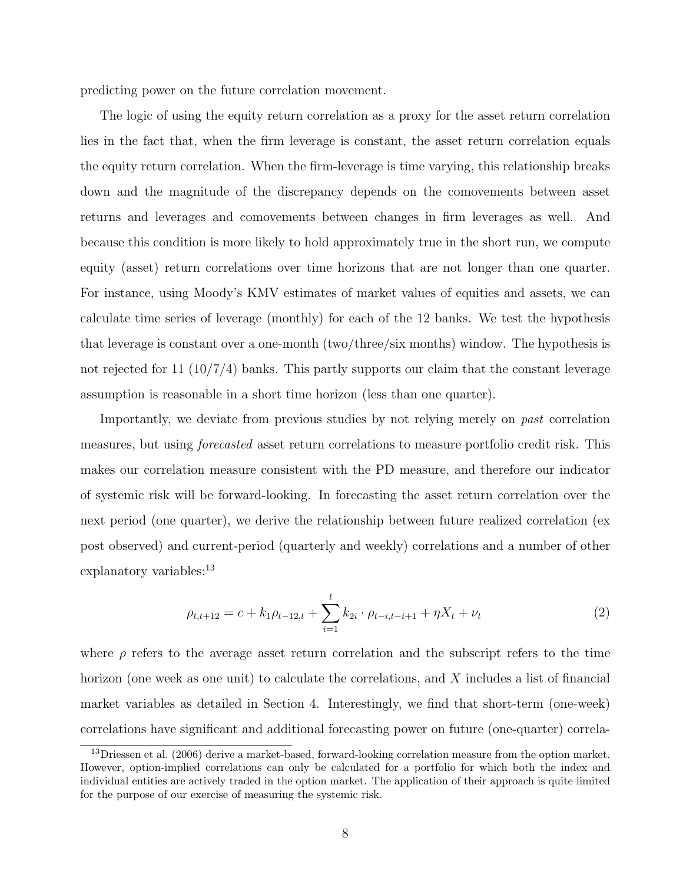predicting power on the future correlation movement.

The logic of using the equity return correlation as a proxy for the asset return correlation lies in the fact that, when the firm leverage is constant, the asset return correlation equals the equity return correlation. When the firm-leverage is time varying, this relationship breaks down and the magnitude of the discrepancy depends on the comovements between asset returns and leverages and comovements between changes in firm leverages as well. And because this condition is more likely to hold approximately true in the short run, we compute equity (asset) return correlations over time horizons that are not longer than one quarter. For instance, using Moody's KMV estimates of market values of equities and assets, we can calculate time series of leverage (monthly) for each of the 12 banks. We test the hypothesis that leverage is constant over a one-month (two/three/six months) window. The hypothesis is not rejected for 11  $(10/7/4)$  banks. This partly supports our claim that the constant leverage assumption is reasonable in a short time horizon (less than one quarter).

Importantly, we deviate from previous studies by not relying merely on *past* correlation measures, but using forecasted asset return correlations to measure portfolio credit risk. This makes our correlation measure consistent with the PD measure, and therefore our indicator of systemic risk will be forward-looking. In forecasting the asset return correlation over the next period (one quarter), we derive the relationship between future realized correlation (ex post observed) and current-period (quarterly and weekly) correlations and a number of other explanatory variables:<sup>13</sup>

$$
\rho_{t,t+12} = c + k_1 \rho_{t-12,t} + \sum_{i=1}^{l} k_{2i} \cdot \rho_{t-i,t-i+1} + \eta X_t + \nu_t \tag{2}
$$

where  $\rho$  refers to the average asset return correlation and the subscript refers to the time horizon (one week as one unit) to calculate the correlations, and X includes a list of financial market variables as detailed in Section 4. Interestingly, we find that short-term (one-week) correlations have significant and additional forecasting power on future (one-quarter) correla-

<sup>&</sup>lt;sup>13</sup>Driessen et al. (2006) derive a market-based, forward-looking correlation measure from the option market. However, option-implied correlations can only be calculated for a portfolio for which both the index and individual entities are actively traded in the option market. The application of their approach is quite limited for the purpose of our exercise of measuring the systemic risk.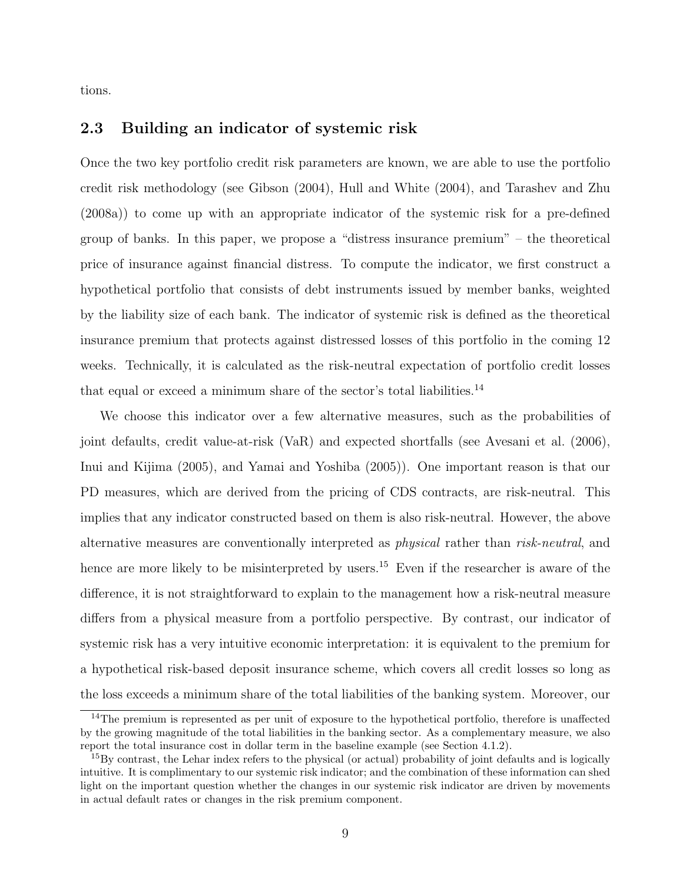tions.

### 2.3 Building an indicator of systemic risk

Once the two key portfolio credit risk parameters are known, we are able to use the portfolio credit risk methodology (see Gibson (2004), Hull and White (2004), and Tarashev and Zhu (2008a)) to come up with an appropriate indicator of the systemic risk for a pre-defined group of banks. In this paper, we propose a "distress insurance premium" – the theoretical price of insurance against financial distress. To compute the indicator, we first construct a hypothetical portfolio that consists of debt instruments issued by member banks, weighted by the liability size of each bank. The indicator of systemic risk is defined as the theoretical insurance premium that protects against distressed losses of this portfolio in the coming 12 weeks. Technically, it is calculated as the risk-neutral expectation of portfolio credit losses that equal or exceed a minimum share of the sector's total liabilities.<sup>14</sup>

We choose this indicator over a few alternative measures, such as the probabilities of joint defaults, credit value-at-risk (VaR) and expected shortfalls (see Avesani et al. (2006), Inui and Kijima (2005), and Yamai and Yoshiba (2005)). One important reason is that our PD measures, which are derived from the pricing of CDS contracts, are risk-neutral. This implies that any indicator constructed based on them is also risk-neutral. However, the above alternative measures are conventionally interpreted as physical rather than risk-neutral, and hence are more likely to be misinterpreted by users.<sup>15</sup> Even if the researcher is aware of the difference, it is not straightforward to explain to the management how a risk-neutral measure differs from a physical measure from a portfolio perspective. By contrast, our indicator of systemic risk has a very intuitive economic interpretation: it is equivalent to the premium for a hypothetical risk-based deposit insurance scheme, which covers all credit losses so long as the loss exceeds a minimum share of the total liabilities of the banking system. Moreover, our

<sup>&</sup>lt;sup>14</sup>The premium is represented as per unit of exposure to the hypothetical portfolio, therefore is unaffected by the growing magnitude of the total liabilities in the banking sector. As a complementary measure, we also report the total insurance cost in dollar term in the baseline example (see Section 4.1.2).

<sup>&</sup>lt;sup>15</sup>By contrast, the Lehar index refers to the physical (or actual) probability of joint defaults and is logically intuitive. It is complimentary to our systemic risk indicator; and the combination of these information can shed light on the important question whether the changes in our systemic risk indicator are driven by movements in actual default rates or changes in the risk premium component.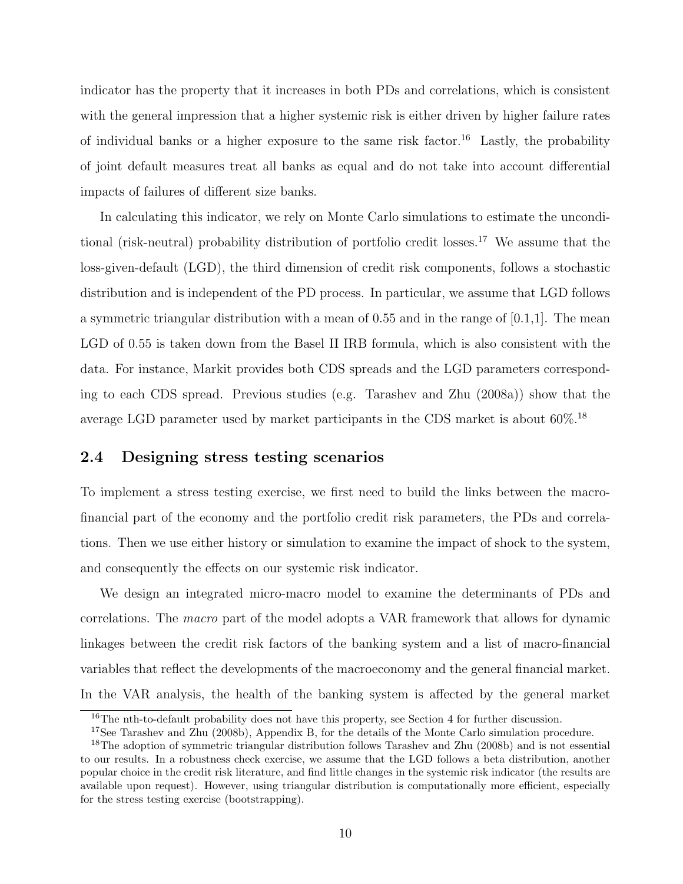indicator has the property that it increases in both PDs and correlations, which is consistent with the general impression that a higher systemic risk is either driven by higher failure rates of individual banks or a higher exposure to the same risk factor.<sup>16</sup> Lastly, the probability of joint default measures treat all banks as equal and do not take into account differential impacts of failures of different size banks.

In calculating this indicator, we rely on Monte Carlo simulations to estimate the unconditional (risk-neutral) probability distribution of portfolio credit losses.<sup>17</sup> We assume that the loss-given-default (LGD), the third dimension of credit risk components, follows a stochastic distribution and is independent of the PD process. In particular, we assume that LGD follows a symmetric triangular distribution with a mean of 0.55 and in the range of  $[0.1,1]$ . The mean LGD of 0.55 is taken down from the Basel II IRB formula, which is also consistent with the data. For instance, Markit provides both CDS spreads and the LGD parameters corresponding to each CDS spread. Previous studies (e.g. Tarashev and Zhu (2008a)) show that the average LGD parameter used by market participants in the CDS market is about 60%.<sup>18</sup>

### 2.4 Designing stress testing scenarios

To implement a stress testing exercise, we first need to build the links between the macrofinancial part of the economy and the portfolio credit risk parameters, the PDs and correlations. Then we use either history or simulation to examine the impact of shock to the system, and consequently the effects on our systemic risk indicator.

We design an integrated micro-macro model to examine the determinants of PDs and correlations. The macro part of the model adopts a VAR framework that allows for dynamic linkages between the credit risk factors of the banking system and a list of macro-financial variables that reflect the developments of the macroeconomy and the general financial market. In the VAR analysis, the health of the banking system is affected by the general market

 $16$ The nth-to-default probability does not have this property, see Section 4 for further discussion.

<sup>&</sup>lt;sup>17</sup>See Tarashev and Zhu (2008b), Appendix B, for the details of the Monte Carlo simulation procedure.

<sup>&</sup>lt;sup>18</sup>The adoption of symmetric triangular distribution follows Tarashev and Zhu (2008b) and is not essential to our results. In a robustness check exercise, we assume that the LGD follows a beta distribution, another popular choice in the credit risk literature, and find little changes in the systemic risk indicator (the results are available upon request). However, using triangular distribution is computationally more efficient, especially for the stress testing exercise (bootstrapping).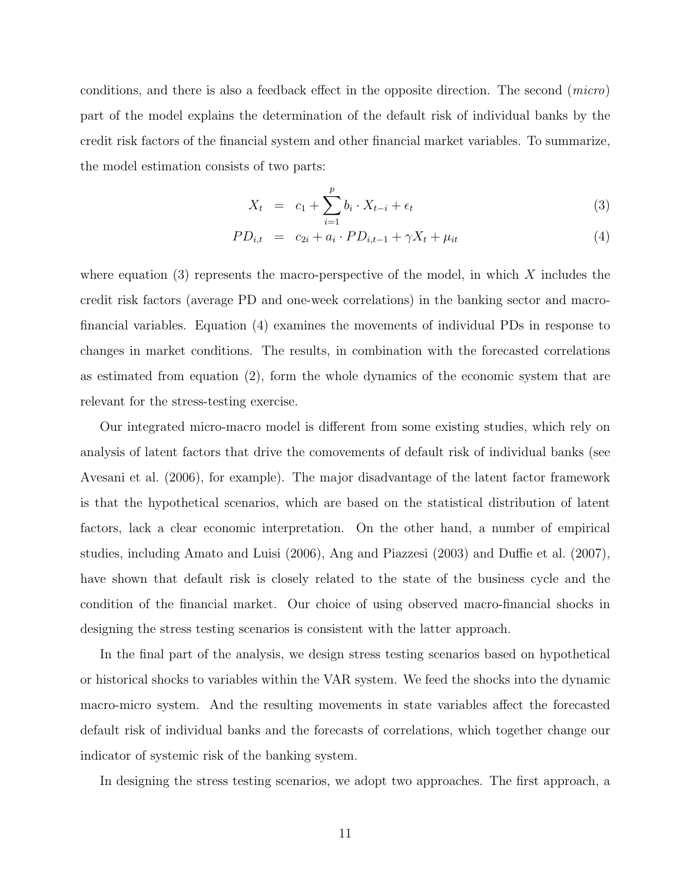conditions, and there is also a feedback effect in the opposite direction. The second (micro) part of the model explains the determination of the default risk of individual banks by the credit risk factors of the financial system and other financial market variables. To summarize, the model estimation consists of two parts:

$$
X_t = c_1 + \sum_{i=1}^p b_i \cdot X_{t-i} + \epsilon_t \tag{3}
$$

$$
PD_{i,t} = c_{2i} + a_i \cdot PD_{i,t-1} + \gamma X_t + \mu_{it}
$$
\n(4)

where equation  $(3)$  represents the macro-perspective of the model, in which X includes the credit risk factors (average PD and one-week correlations) in the banking sector and macrofinancial variables. Equation (4) examines the movements of individual PDs in response to changes in market conditions. The results, in combination with the forecasted correlations as estimated from equation (2), form the whole dynamics of the economic system that are relevant for the stress-testing exercise.

Our integrated micro-macro model is different from some existing studies, which rely on analysis of latent factors that drive the comovements of default risk of individual banks (see Avesani et al. (2006), for example). The major disadvantage of the latent factor framework is that the hypothetical scenarios, which are based on the statistical distribution of latent factors, lack a clear economic interpretation. On the other hand, a number of empirical studies, including Amato and Luisi (2006), Ang and Piazzesi (2003) and Duffie et al. (2007), have shown that default risk is closely related to the state of the business cycle and the condition of the financial market. Our choice of using observed macro-financial shocks in designing the stress testing scenarios is consistent with the latter approach.

In the final part of the analysis, we design stress testing scenarios based on hypothetical or historical shocks to variables within the VAR system. We feed the shocks into the dynamic macro-micro system. And the resulting movements in state variables affect the forecasted default risk of individual banks and the forecasts of correlations, which together change our indicator of systemic risk of the banking system.

In designing the stress testing scenarios, we adopt two approaches. The first approach, a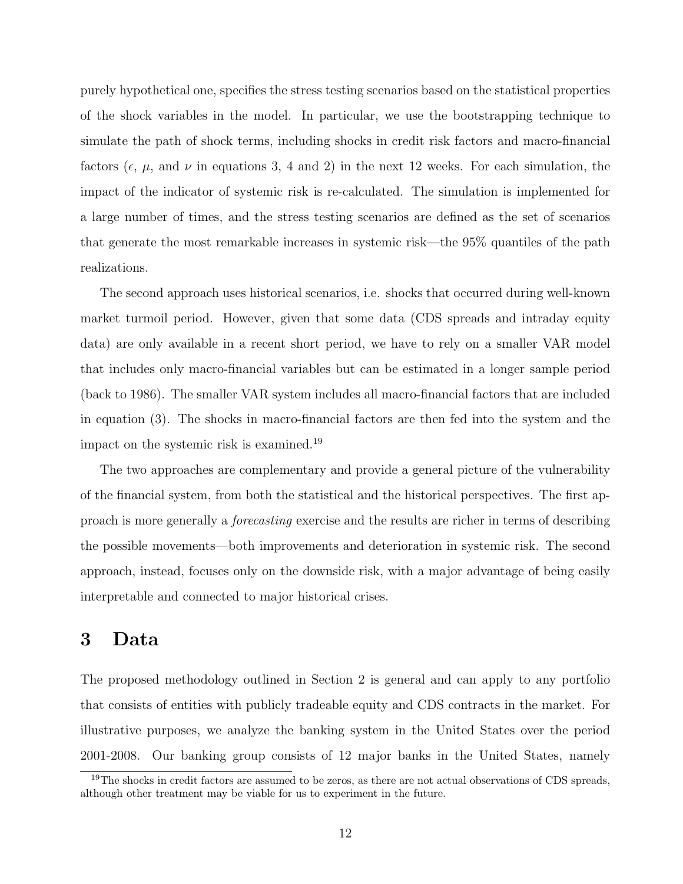purely hypothetical one, specifies the stress testing scenarios based on the statistical properties of the shock variables in the model. In particular, we use the bootstrapping technique to simulate the path of shock terms, including shocks in credit risk factors and macro-financial factors ( $\epsilon$ ,  $\mu$ , and  $\nu$  in equations 3, 4 and 2) in the next 12 weeks. For each simulation, the impact of the indicator of systemic risk is re-calculated. The simulation is implemented for a large number of times, and the stress testing scenarios are defined as the set of scenarios that generate the most remarkable increases in systemic risk—the 95% quantiles of the path realizations.

The second approach uses historical scenarios, i.e. shocks that occurred during well-known market turmoil period. However, given that some data (CDS spreads and intraday equity data) are only available in a recent short period, we have to rely on a smaller VAR model that includes only macro-financial variables but can be estimated in a longer sample period (back to 1986). The smaller VAR system includes all macro-financial factors that are included in equation (3). The shocks in macro-financial factors are then fed into the system and the impact on the systemic risk is examined.<sup>19</sup>

The two approaches are complementary and provide a general picture of the vulnerability of the financial system, from both the statistical and the historical perspectives. The first approach is more generally a forecasting exercise and the results are richer in terms of describing the possible movements—both improvements and deterioration in systemic risk. The second approach, instead, focuses only on the downside risk, with a major advantage of being easily interpretable and connected to major historical crises.

## 3 Data

The proposed methodology outlined in Section 2 is general and can apply to any portfolio that consists of entities with publicly tradeable equity and CDS contracts in the market. For illustrative purposes, we analyze the banking system in the United States over the period 2001-2008. Our banking group consists of 12 major banks in the United States, namely

 $19$ The shocks in credit factors are assumed to be zeros, as there are not actual observations of CDS spreads, although other treatment may be viable for us to experiment in the future.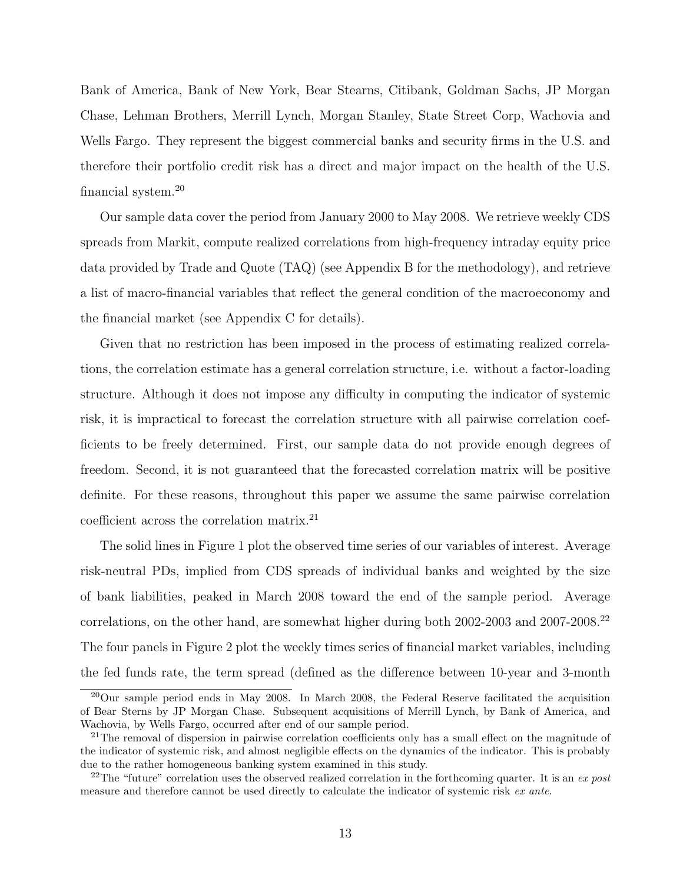Bank of America, Bank of New York, Bear Stearns, Citibank, Goldman Sachs, JP Morgan Chase, Lehman Brothers, Merrill Lynch, Morgan Stanley, State Street Corp, Wachovia and Wells Fargo. They represent the biggest commercial banks and security firms in the U.S. and therefore their portfolio credit risk has a direct and major impact on the health of the U.S. financial system.<sup>20</sup>

Our sample data cover the period from January 2000 to May 2008. We retrieve weekly CDS spreads from Markit, compute realized correlations from high-frequency intraday equity price data provided by Trade and Quote (TAQ) (see Appendix B for the methodology), and retrieve a list of macro-financial variables that reflect the general condition of the macroeconomy and the financial market (see Appendix C for details).

Given that no restriction has been imposed in the process of estimating realized correlations, the correlation estimate has a general correlation structure, i.e. without a factor-loading structure. Although it does not impose any difficulty in computing the indicator of systemic risk, it is impractical to forecast the correlation structure with all pairwise correlation coefficients to be freely determined. First, our sample data do not provide enough degrees of freedom. Second, it is not guaranteed that the forecasted correlation matrix will be positive definite. For these reasons, throughout this paper we assume the same pairwise correlation coefficient across the correlation matrix.<sup>21</sup>

The solid lines in Figure 1 plot the observed time series of our variables of interest. Average risk-neutral PDs, implied from CDS spreads of individual banks and weighted by the size of bank liabilities, peaked in March 2008 toward the end of the sample period. Average correlations, on the other hand, are somewhat higher during both 2002-2003 and 2007-2008.<sup>22</sup> The four panels in Figure 2 plot the weekly times series of financial market variables, including the fed funds rate, the term spread (defined as the difference between 10-year and 3-month

 $^{20}$ Our sample period ends in May 2008. In March 2008, the Federal Reserve facilitated the acquisition of Bear Sterns by JP Morgan Chase. Subsequent acquisitions of Merrill Lynch, by Bank of America, and Wachovia, by Wells Fargo, occurred after end of our sample period.

<sup>&</sup>lt;sup>21</sup>The removal of dispersion in pairwise correlation coefficients only has a small effect on the magnitude of the indicator of systemic risk, and almost negligible effects on the dynamics of the indicator. This is probably due to the rather homogeneous banking system examined in this study.

<sup>&</sup>lt;sup>22</sup>The "future" correlation uses the observed realized correlation in the forthcoming quarter. It is an ex post measure and therefore cannot be used directly to calculate the indicator of systemic risk ex ante.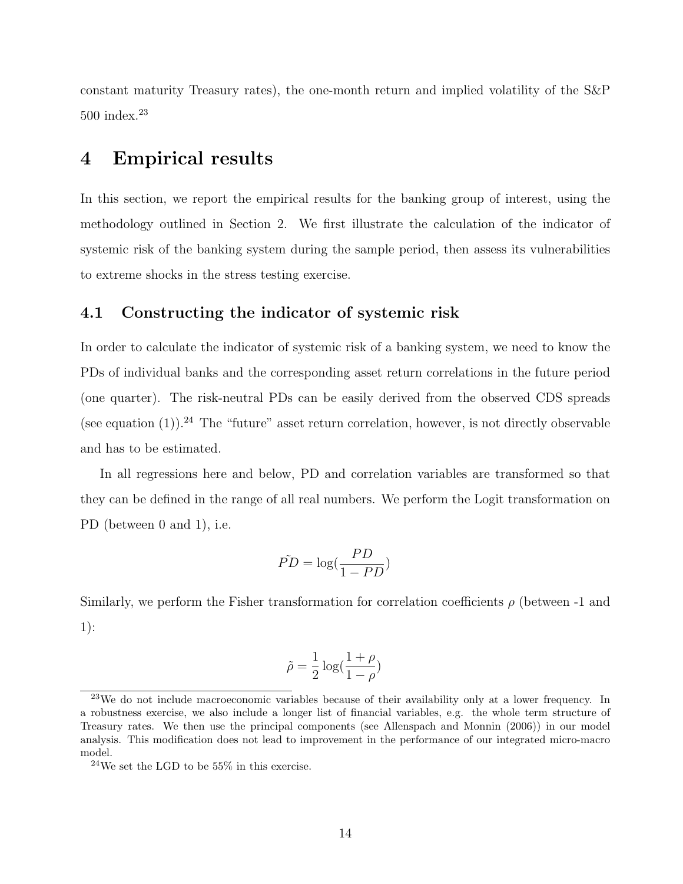constant maturity Treasury rates), the one-month return and implied volatility of the S&P  $500$  index.<sup>23</sup>

## 4 Empirical results

In this section, we report the empirical results for the banking group of interest, using the methodology outlined in Section 2. We first illustrate the calculation of the indicator of systemic risk of the banking system during the sample period, then assess its vulnerabilities to extreme shocks in the stress testing exercise.

### 4.1 Constructing the indicator of systemic risk

In order to calculate the indicator of systemic risk of a banking system, we need to know the PDs of individual banks and the corresponding asset return correlations in the future period (one quarter). The risk-neutral PDs can be easily derived from the observed CDS spreads (see equation  $(1)$ ).<sup>24</sup> The "future" asset return correlation, however, is not directly observable and has to be estimated.

In all regressions here and below, PD and correlation variables are transformed so that they can be defined in the range of all real numbers. We perform the Logit transformation on PD (between 0 and 1), i.e.

$$
\tilde{PD} = \log(\frac{PD}{1 - PD})
$$

Similarly, we perform the Fisher transformation for correlation coefficients  $\rho$  (between -1 and 1):

$$
\tilde{\rho} = \frac{1}{2} \log(\frac{1+\rho}{1-\rho})
$$

<sup>&</sup>lt;sup>23</sup>We do not include macroeconomic variables because of their availability only at a lower frequency. In a robustness exercise, we also include a longer list of financial variables, e.g. the whole term structure of Treasury rates. We then use the principal components (see Allenspach and Monnin (2006)) in our model analysis. This modification does not lead to improvement in the performance of our integrated micro-macro model.

 $^{24}\mathrm{We}$  set the LGD to be 55% in this exercise.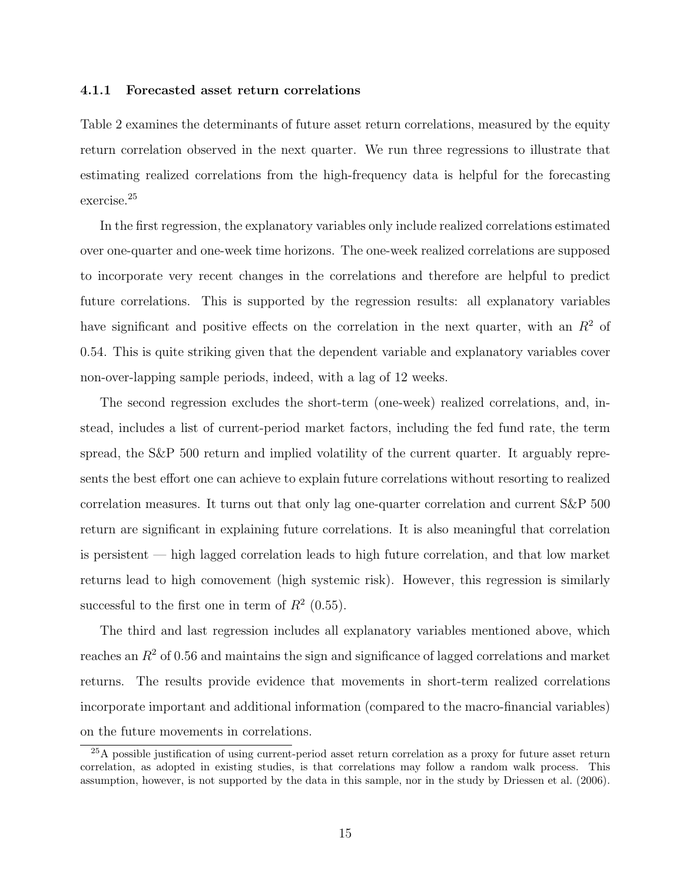#### 4.1.1 Forecasted asset return correlations

Table 2 examines the determinants of future asset return correlations, measured by the equity return correlation observed in the next quarter. We run three regressions to illustrate that estimating realized correlations from the high-frequency data is helpful for the forecasting exercise.<sup>25</sup>

In the first regression, the explanatory variables only include realized correlations estimated over one-quarter and one-week time horizons. The one-week realized correlations are supposed to incorporate very recent changes in the correlations and therefore are helpful to predict future correlations. This is supported by the regression results: all explanatory variables have significant and positive effects on the correlation in the next quarter, with an  $R<sup>2</sup>$  of 0.54. This is quite striking given that the dependent variable and explanatory variables cover non-over-lapping sample periods, indeed, with a lag of 12 weeks.

The second regression excludes the short-term (one-week) realized correlations, and, instead, includes a list of current-period market factors, including the fed fund rate, the term spread, the S&P 500 return and implied volatility of the current quarter. It arguably represents the best effort one can achieve to explain future correlations without resorting to realized correlation measures. It turns out that only lag one-quarter correlation and current S&P 500 return are significant in explaining future correlations. It is also meaningful that correlation is persistent — high lagged correlation leads to high future correlation, and that low market returns lead to high comovement (high systemic risk). However, this regression is similarly successful to the first one in term of  $R^2$  (0.55).

The third and last regression includes all explanatory variables mentioned above, which reaches an  $R<sup>2</sup>$  of 0.56 and maintains the sign and significance of lagged correlations and market returns. The results provide evidence that movements in short-term realized correlations incorporate important and additional information (compared to the macro-financial variables) on the future movements in correlations.

<sup>&</sup>lt;sup>25</sup>A possible justification of using current-period asset return correlation as a proxy for future asset return correlation, as adopted in existing studies, is that correlations may follow a random walk process. This assumption, however, is not supported by the data in this sample, nor in the study by Driessen et al. (2006).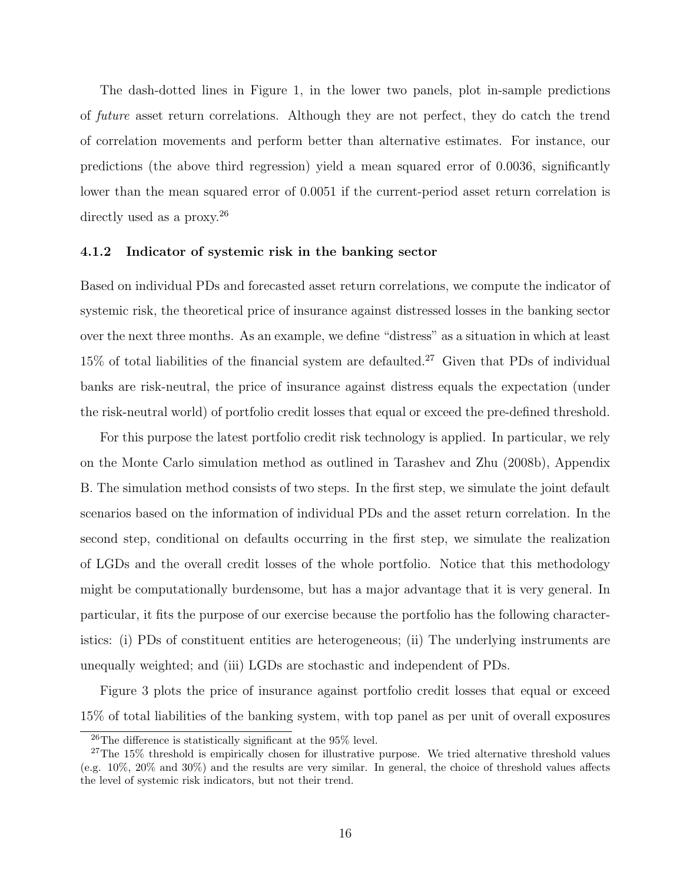The dash-dotted lines in Figure 1, in the lower two panels, plot in-sample predictions of future asset return correlations. Although they are not perfect, they do catch the trend of correlation movements and perform better than alternative estimates. For instance, our predictions (the above third regression) yield a mean squared error of 0.0036, significantly lower than the mean squared error of 0.0051 if the current-period asset return correlation is directly used as a proxy.<sup>26</sup>

#### 4.1.2 Indicator of systemic risk in the banking sector

Based on individual PDs and forecasted asset return correlations, we compute the indicator of systemic risk, the theoretical price of insurance against distressed losses in the banking sector over the next three months. As an example, we define "distress" as a situation in which at least  $15\%$  of total liabilities of the financial system are defaulted.<sup>27</sup> Given that PDs of individual banks are risk-neutral, the price of insurance against distress equals the expectation (under the risk-neutral world) of portfolio credit losses that equal or exceed the pre-defined threshold.

For this purpose the latest portfolio credit risk technology is applied. In particular, we rely on the Monte Carlo simulation method as outlined in Tarashev and Zhu (2008b), Appendix B. The simulation method consists of two steps. In the first step, we simulate the joint default scenarios based on the information of individual PDs and the asset return correlation. In the second step, conditional on defaults occurring in the first step, we simulate the realization of LGDs and the overall credit losses of the whole portfolio. Notice that this methodology might be computationally burdensome, but has a major advantage that it is very general. In particular, it fits the purpose of our exercise because the portfolio has the following characteristics: (i) PDs of constituent entities are heterogeneous; (ii) The underlying instruments are unequally weighted; and (iii) LGDs are stochastic and independent of PDs.

Figure 3 plots the price of insurance against portfolio credit losses that equal or exceed 15% of total liabilities of the banking system, with top panel as per unit of overall exposures

<sup>&</sup>lt;sup>26</sup>The difference is statistically significant at the 95 $\%$  level.

<sup>&</sup>lt;sup>27</sup>The 15% threshold is empirically chosen for illustrative purpose. We tried alternative threshold values (e.g. 10%, 20% and 30%) and the results are very similar. In general, the choice of threshold values affects the level of systemic risk indicators, but not their trend.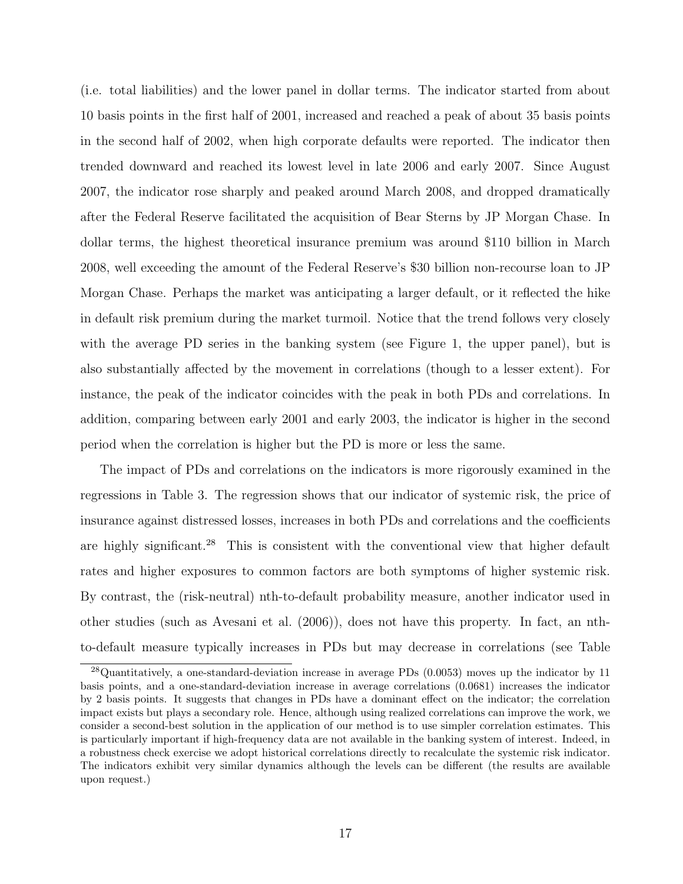(i.e. total liabilities) and the lower panel in dollar terms. The indicator started from about 10 basis points in the first half of 2001, increased and reached a peak of about 35 basis points in the second half of 2002, when high corporate defaults were reported. The indicator then trended downward and reached its lowest level in late 2006 and early 2007. Since August 2007, the indicator rose sharply and peaked around March 2008, and dropped dramatically after the Federal Reserve facilitated the acquisition of Bear Sterns by JP Morgan Chase. In dollar terms, the highest theoretical insurance premium was around \$110 billion in March 2008, well exceeding the amount of the Federal Reserve's \$30 billion non-recourse loan to JP Morgan Chase. Perhaps the market was anticipating a larger default, or it reflected the hike in default risk premium during the market turmoil. Notice that the trend follows very closely with the average PD series in the banking system (see Figure 1, the upper panel), but is also substantially affected by the movement in correlations (though to a lesser extent). For instance, the peak of the indicator coincides with the peak in both PDs and correlations. In addition, comparing between early 2001 and early 2003, the indicator is higher in the second period when the correlation is higher but the PD is more or less the same.

The impact of PDs and correlations on the indicators is more rigorously examined in the regressions in Table 3. The regression shows that our indicator of systemic risk, the price of insurance against distressed losses, increases in both PDs and correlations and the coefficients are highly significant.<sup>28</sup> This is consistent with the conventional view that higher default rates and higher exposures to common factors are both symptoms of higher systemic risk. By contrast, the (risk-neutral) nth-to-default probability measure, another indicator used in other studies (such as Avesani et al. (2006)), does not have this property. In fact, an nthto-default measure typically increases in PDs but may decrease in correlations (see Table

<sup>28</sup>Quantitatively, a one-standard-deviation increase in average PDs (0.0053) moves up the indicator by 11 basis points, and a one-standard-deviation increase in average correlations (0.0681) increases the indicator by 2 basis points. It suggests that changes in PDs have a dominant effect on the indicator; the correlation impact exists but plays a secondary role. Hence, although using realized correlations can improve the work, we consider a second-best solution in the application of our method is to use simpler correlation estimates. This is particularly important if high-frequency data are not available in the banking system of interest. Indeed, in a robustness check exercise we adopt historical correlations directly to recalculate the systemic risk indicator. The indicators exhibit very similar dynamics although the levels can be different (the results are available upon request.)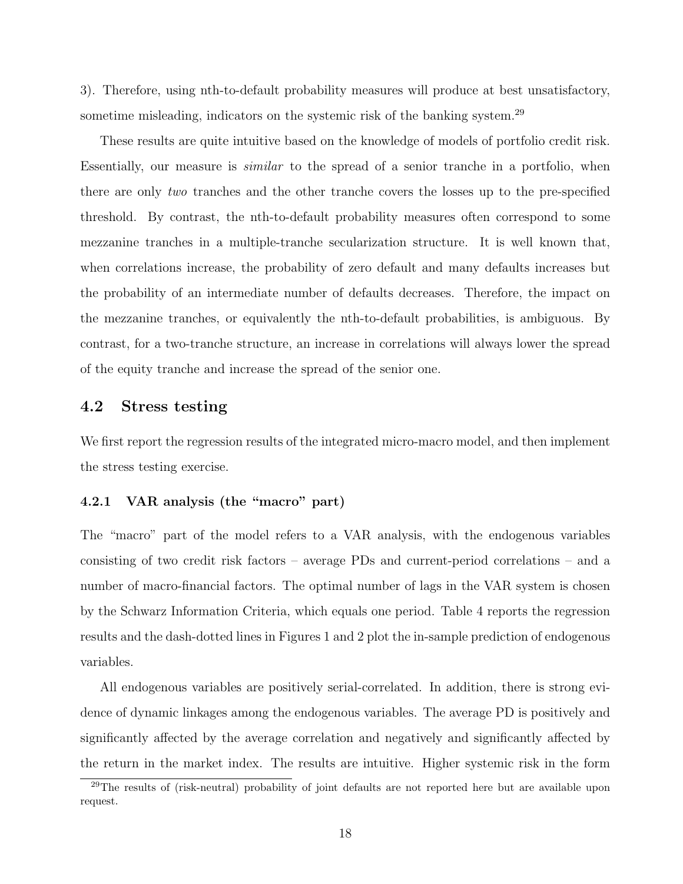3). Therefore, using nth-to-default probability measures will produce at best unsatisfactory, sometime misleading, indicators on the systemic risk of the banking system.<sup>29</sup>

These results are quite intuitive based on the knowledge of models of portfolio credit risk. Essentially, our measure is similar to the spread of a senior tranche in a portfolio, when there are only two tranches and the other tranche covers the losses up to the pre-specified threshold. By contrast, the nth-to-default probability measures often correspond to some mezzanine tranches in a multiple-tranche secularization structure. It is well known that, when correlations increase, the probability of zero default and many defaults increases but the probability of an intermediate number of defaults decreases. Therefore, the impact on the mezzanine tranches, or equivalently the nth-to-default probabilities, is ambiguous. By contrast, for a two-tranche structure, an increase in correlations will always lower the spread of the equity tranche and increase the spread of the senior one.

### 4.2 Stress testing

We first report the regression results of the integrated micro-macro model, and then implement the stress testing exercise.

#### 4.2.1 VAR analysis (the "macro" part)

The "macro" part of the model refers to a VAR analysis, with the endogenous variables consisting of two credit risk factors – average PDs and current-period correlations – and a number of macro-financial factors. The optimal number of lags in the VAR system is chosen by the Schwarz Information Criteria, which equals one period. Table 4 reports the regression results and the dash-dotted lines in Figures 1 and 2 plot the in-sample prediction of endogenous variables.

All endogenous variables are positively serial-correlated. In addition, there is strong evidence of dynamic linkages among the endogenous variables. The average PD is positively and significantly affected by the average correlation and negatively and significantly affected by the return in the market index. The results are intuitive. Higher systemic risk in the form

<sup>29</sup>The results of (risk-neutral) probability of joint defaults are not reported here but are available upon request.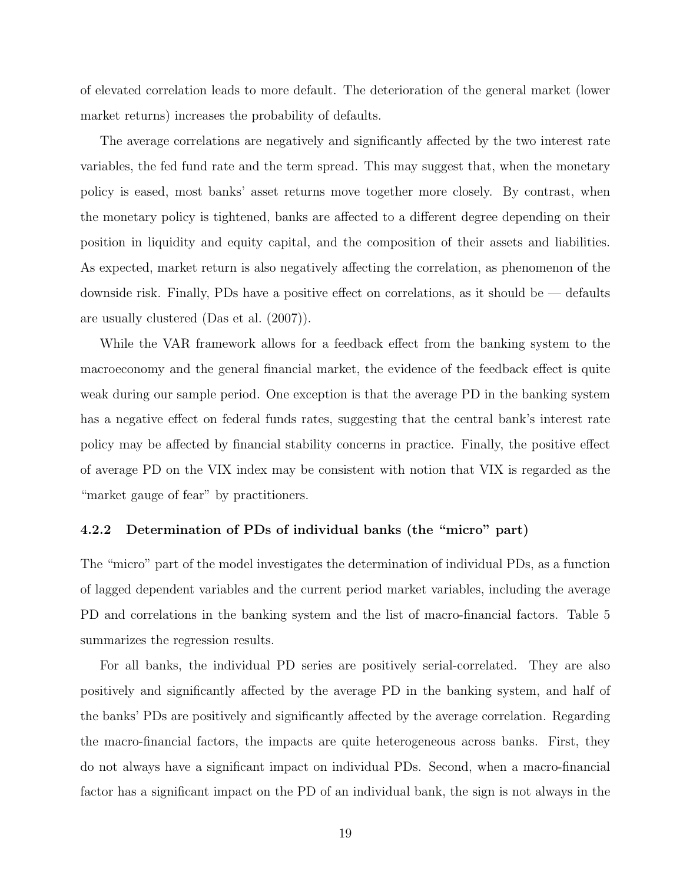of elevated correlation leads to more default. The deterioration of the general market (lower market returns) increases the probability of defaults.

The average correlations are negatively and significantly affected by the two interest rate variables, the fed fund rate and the term spread. This may suggest that, when the monetary policy is eased, most banks' asset returns move together more closely. By contrast, when the monetary policy is tightened, banks are affected to a different degree depending on their position in liquidity and equity capital, and the composition of their assets and liabilities. As expected, market return is also negatively affecting the correlation, as phenomenon of the downside risk. Finally, PDs have a positive effect on correlations, as it should be — defaults are usually clustered (Das et al. (2007)).

While the VAR framework allows for a feedback effect from the banking system to the macroeconomy and the general financial market, the evidence of the feedback effect is quite weak during our sample period. One exception is that the average PD in the banking system has a negative effect on federal funds rates, suggesting that the central bank's interest rate policy may be affected by financial stability concerns in practice. Finally, the positive effect of average PD on the VIX index may be consistent with notion that VIX is regarded as the "market gauge of fear" by practitioners.

#### 4.2.2 Determination of PDs of individual banks (the "micro" part)

The "micro" part of the model investigates the determination of individual PDs, as a function of lagged dependent variables and the current period market variables, including the average PD and correlations in the banking system and the list of macro-financial factors. Table 5 summarizes the regression results.

For all banks, the individual PD series are positively serial-correlated. They are also positively and significantly affected by the average PD in the banking system, and half of the banks' PDs are positively and significantly affected by the average correlation. Regarding the macro-financial factors, the impacts are quite heterogeneous across banks. First, they do not always have a significant impact on individual PDs. Second, when a macro-financial factor has a significant impact on the PD of an individual bank, the sign is not always in the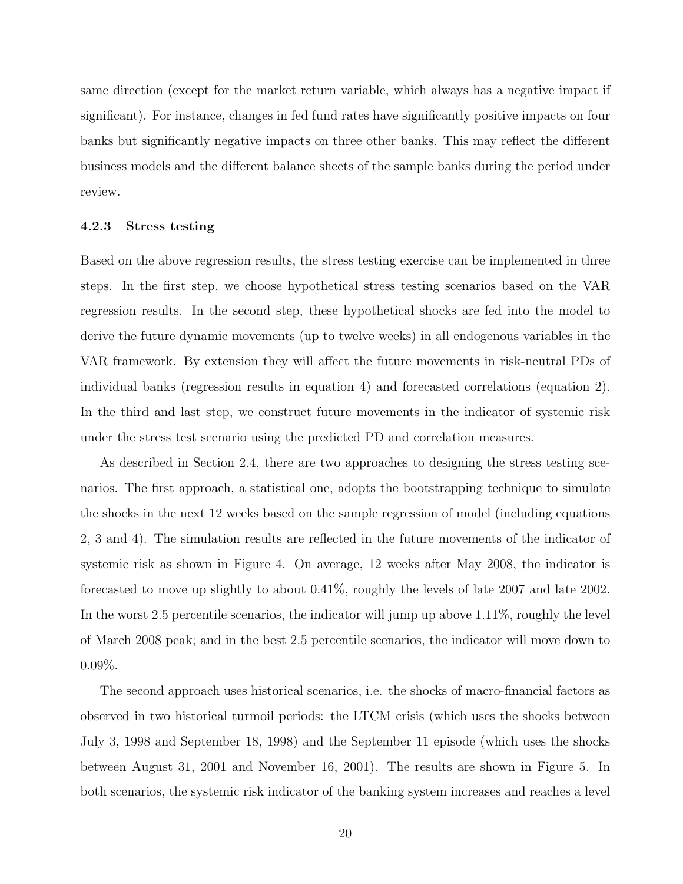same direction (except for the market return variable, which always has a negative impact if significant). For instance, changes in fed fund rates have significantly positive impacts on four banks but significantly negative impacts on three other banks. This may reflect the different business models and the different balance sheets of the sample banks during the period under review.

#### 4.2.3 Stress testing

Based on the above regression results, the stress testing exercise can be implemented in three steps. In the first step, we choose hypothetical stress testing scenarios based on the VAR regression results. In the second step, these hypothetical shocks are fed into the model to derive the future dynamic movements (up to twelve weeks) in all endogenous variables in the VAR framework. By extension they will affect the future movements in risk-neutral PDs of individual banks (regression results in equation 4) and forecasted correlations (equation 2). In the third and last step, we construct future movements in the indicator of systemic risk under the stress test scenario using the predicted PD and correlation measures.

As described in Section 2.4, there are two approaches to designing the stress testing scenarios. The first approach, a statistical one, adopts the bootstrapping technique to simulate the shocks in the next 12 weeks based on the sample regression of model (including equations 2, 3 and 4). The simulation results are reflected in the future movements of the indicator of systemic risk as shown in Figure 4. On average, 12 weeks after May 2008, the indicator is forecasted to move up slightly to about 0.41%, roughly the levels of late 2007 and late 2002. In the worst 2.5 percentile scenarios, the indicator will jump up above 1.11%, roughly the level of March 2008 peak; and in the best 2.5 percentile scenarios, the indicator will move down to 0.09%.

The second approach uses historical scenarios, i.e. the shocks of macro-financial factors as observed in two historical turmoil periods: the LTCM crisis (which uses the shocks between July 3, 1998 and September 18, 1998) and the September 11 episode (which uses the shocks between August 31, 2001 and November 16, 2001). The results are shown in Figure 5. In both scenarios, the systemic risk indicator of the banking system increases and reaches a level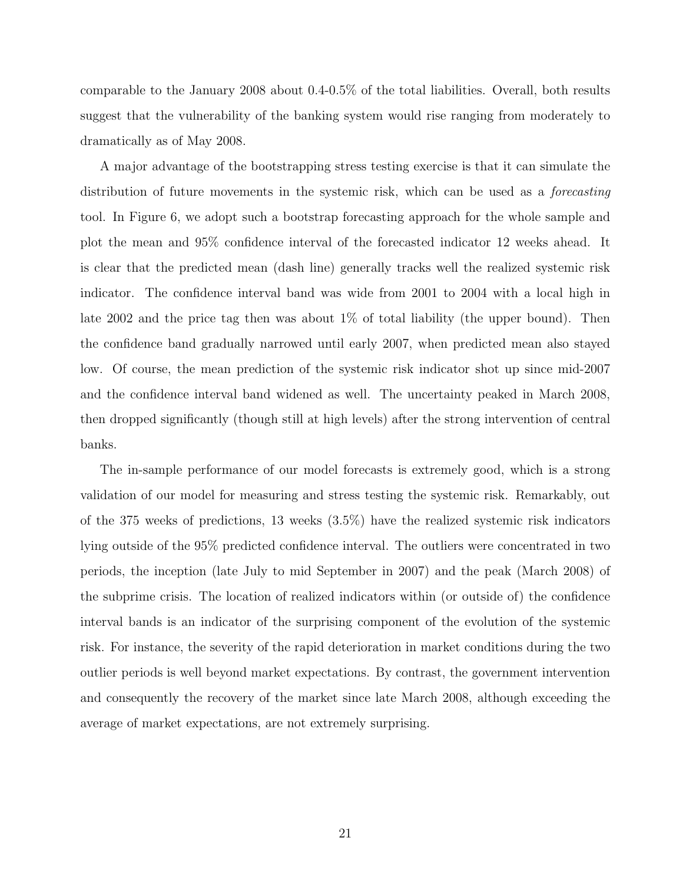comparable to the January 2008 about 0.4-0.5% of the total liabilities. Overall, both results suggest that the vulnerability of the banking system would rise ranging from moderately to dramatically as of May 2008.

A major advantage of the bootstrapping stress testing exercise is that it can simulate the distribution of future movements in the systemic risk, which can be used as a *forecasting* tool. In Figure 6, we adopt such a bootstrap forecasting approach for the whole sample and plot the mean and 95% confidence interval of the forecasted indicator 12 weeks ahead. It is clear that the predicted mean (dash line) generally tracks well the realized systemic risk indicator. The confidence interval band was wide from 2001 to 2004 with a local high in late 2002 and the price tag then was about 1% of total liability (the upper bound). Then the confidence band gradually narrowed until early 2007, when predicted mean also stayed low. Of course, the mean prediction of the systemic risk indicator shot up since mid-2007 and the confidence interval band widened as well. The uncertainty peaked in March 2008, then dropped significantly (though still at high levels) after the strong intervention of central banks.

The in-sample performance of our model forecasts is extremely good, which is a strong validation of our model for measuring and stress testing the systemic risk. Remarkably, out of the 375 weeks of predictions, 13 weeks (3.5%) have the realized systemic risk indicators lying outside of the 95% predicted confidence interval. The outliers were concentrated in two periods, the inception (late July to mid September in 2007) and the peak (March 2008) of the subprime crisis. The location of realized indicators within (or outside of) the confidence interval bands is an indicator of the surprising component of the evolution of the systemic risk. For instance, the severity of the rapid deterioration in market conditions during the two outlier periods is well beyond market expectations. By contrast, the government intervention and consequently the recovery of the market since late March 2008, although exceeding the average of market expectations, are not extremely surprising.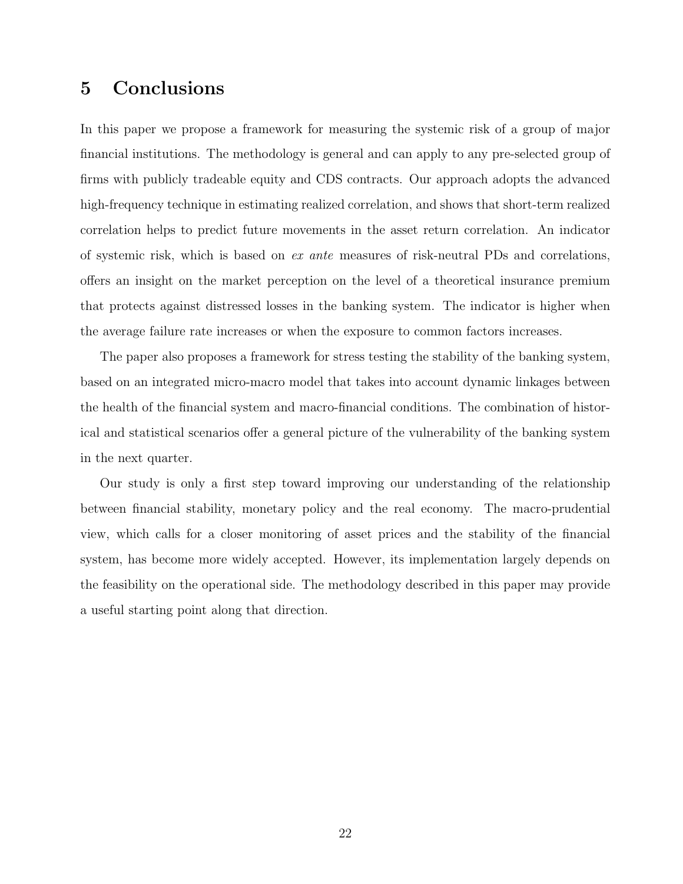# 5 Conclusions

In this paper we propose a framework for measuring the systemic risk of a group of major financial institutions. The methodology is general and can apply to any pre-selected group of firms with publicly tradeable equity and CDS contracts. Our approach adopts the advanced high-frequency technique in estimating realized correlation, and shows that short-term realized correlation helps to predict future movements in the asset return correlation. An indicator of systemic risk, which is based on ex ante measures of risk-neutral PDs and correlations, offers an insight on the market perception on the level of a theoretical insurance premium that protects against distressed losses in the banking system. The indicator is higher when the average failure rate increases or when the exposure to common factors increases.

The paper also proposes a framework for stress testing the stability of the banking system, based on an integrated micro-macro model that takes into account dynamic linkages between the health of the financial system and macro-financial conditions. The combination of historical and statistical scenarios offer a general picture of the vulnerability of the banking system in the next quarter.

Our study is only a first step toward improving our understanding of the relationship between financial stability, monetary policy and the real economy. The macro-prudential view, which calls for a closer monitoring of asset prices and the stability of the financial system, has become more widely accepted. However, its implementation largely depends on the feasibility on the operational side. The methodology described in this paper may provide a useful starting point along that direction.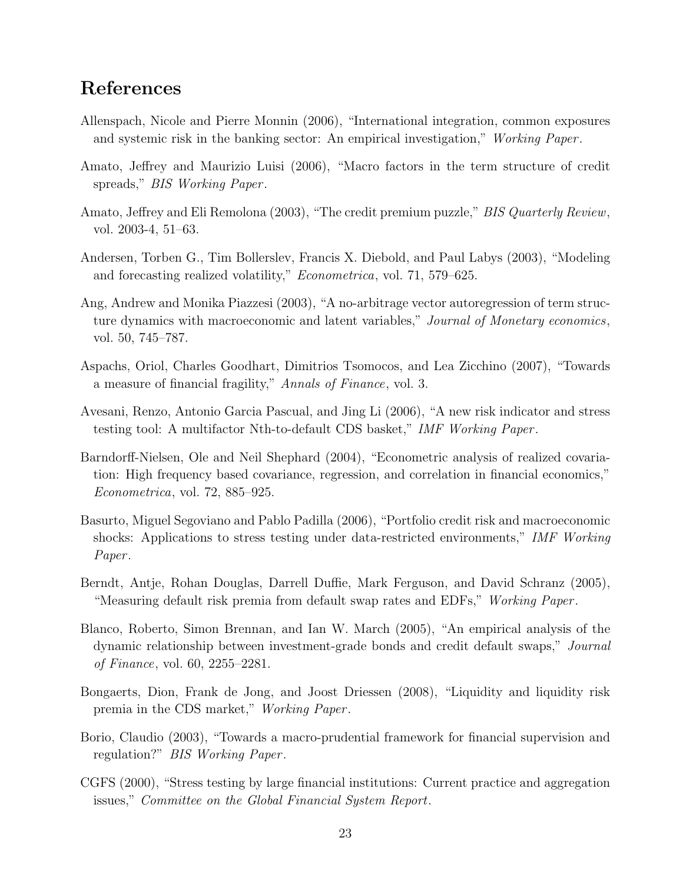# References

- Allenspach, Nicole and Pierre Monnin (2006), "International integration, common exposures and systemic risk in the banking sector: An empirical investigation," Working Paper.
- Amato, Jeffrey and Maurizio Luisi (2006), "Macro factors in the term structure of credit spreads," BIS Working Paper.
- Amato, Jeffrey and Eli Remolona (2003), "The credit premium puzzle," *BIS Quarterly Review*, vol. 2003-4, 51–63.
- Andersen, Torben G., Tim Bollerslev, Francis X. Diebold, and Paul Labys (2003), "Modeling and forecasting realized volatility," Econometrica, vol. 71, 579–625.
- Ang, Andrew and Monika Piazzesi (2003), "A no-arbitrage vector autoregression of term structure dynamics with macroeconomic and latent variables," Journal of Monetary economics, vol. 50, 745–787.
- Aspachs, Oriol, Charles Goodhart, Dimitrios Tsomocos, and Lea Zicchino (2007), "Towards a measure of financial fragility," Annals of Finance, vol. 3.
- Avesani, Renzo, Antonio Garcia Pascual, and Jing Li (2006), "A new risk indicator and stress testing tool: A multifactor Nth-to-default CDS basket," IMF Working Paper .
- Barndorff-Nielsen, Ole and Neil Shephard (2004), "Econometric analysis of realized covariation: High frequency based covariance, regression, and correlation in financial economics," Econometrica, vol. 72, 885–925.
- Basurto, Miguel Segoviano and Pablo Padilla (2006), "Portfolio credit risk and macroeconomic shocks: Applications to stress testing under data-restricted environments," IMF Working Paper.
- Berndt, Antje, Rohan Douglas, Darrell Duffie, Mark Ferguson, and David Schranz (2005), "Measuring default risk premia from default swap rates and EDFs," Working Paper.
- Blanco, Roberto, Simon Brennan, and Ian W. March (2005), "An empirical analysis of the dynamic relationship between investment-grade bonds and credit default swaps," Journal of Finance, vol. 60, 2255–2281.
- Bongaerts, Dion, Frank de Jong, and Joost Driessen (2008), "Liquidity and liquidity risk premia in the CDS market," Working Paper.
- Borio, Claudio (2003), "Towards a macro-prudential framework for financial supervision and regulation?" BIS Working Paper .
- CGFS (2000), "Stress testing by large financial institutions: Current practice and aggregation issues," Committee on the Global Financial System Report.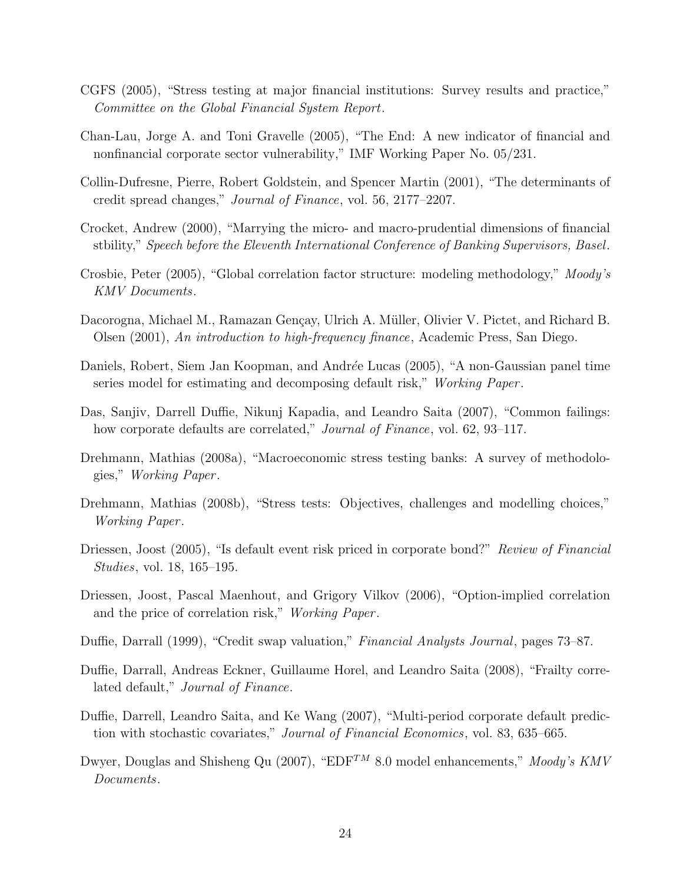- CGFS (2005), "Stress testing at major financial institutions: Survey results and practice," Committee on the Global Financial System Report.
- Chan-Lau, Jorge A. and Toni Gravelle (2005), "The End: A new indicator of financial and nonfinancial corporate sector vulnerability," IMF Working Paper No. 05/231.
- Collin-Dufresne, Pierre, Robert Goldstein, and Spencer Martin (2001), "The determinants of credit spread changes," Journal of Finance, vol. 56, 2177–2207.
- Crocket, Andrew (2000), "Marrying the micro- and macro-prudential dimensions of financial stbility," Speech before the Eleventh International Conference of Banking Supervisors, Basel.
- Crosbie, Peter (2005), "Global correlation factor structure: modeling methodology," Moody's KMV Documents.
- Dacorogna, Michael M., Ramazan Gençay, Ulrich A. Müller, Olivier V. Pictet, and Richard B. Olsen (2001), An introduction to high-frequency finance, Academic Press, San Diego.
- Daniels, Robert, Siem Jan Koopman, and Andrée Lucas (2005), "A non-Gaussian panel time series model for estimating and decomposing default risk," Working Paper.
- Das, Sanjiv, Darrell Duffie, Nikunj Kapadia, and Leandro Saita (2007), "Common failings: how corporate defaults are correlated," *Journal of Finance*, vol. 62, 93–117.
- Drehmann, Mathias (2008a), "Macroeconomic stress testing banks: A survey of methodologies," Working Paper .
- Drehmann, Mathias (2008b), "Stress tests: Objectives, challenges and modelling choices," Working Paper .
- Driessen, Joost (2005), "Is default event risk priced in corporate bond?" Review of Financial Studies, vol. 18, 165–195.
- Driessen, Joost, Pascal Maenhout, and Grigory Vilkov (2006), "Option-implied correlation and the price of correlation risk," Working Paper .
- Duffie, Darrall (1999), "Credit swap valuation," Financial Analysts Journal, pages 73–87.
- Duffie, Darrall, Andreas Eckner, Guillaume Horel, and Leandro Saita (2008), "Frailty correlated default," Journal of Finance.
- Duffie, Darrell, Leandro Saita, and Ke Wang (2007), "Multi-period corporate default prediction with stochastic covariates," Journal of Financial Economics, vol. 83, 635–665.
- Dwyer, Douglas and Shisheng Qu (2007), "EDF<sup>TM</sup> 8.0 model enhancements," Moody's KMV Documents.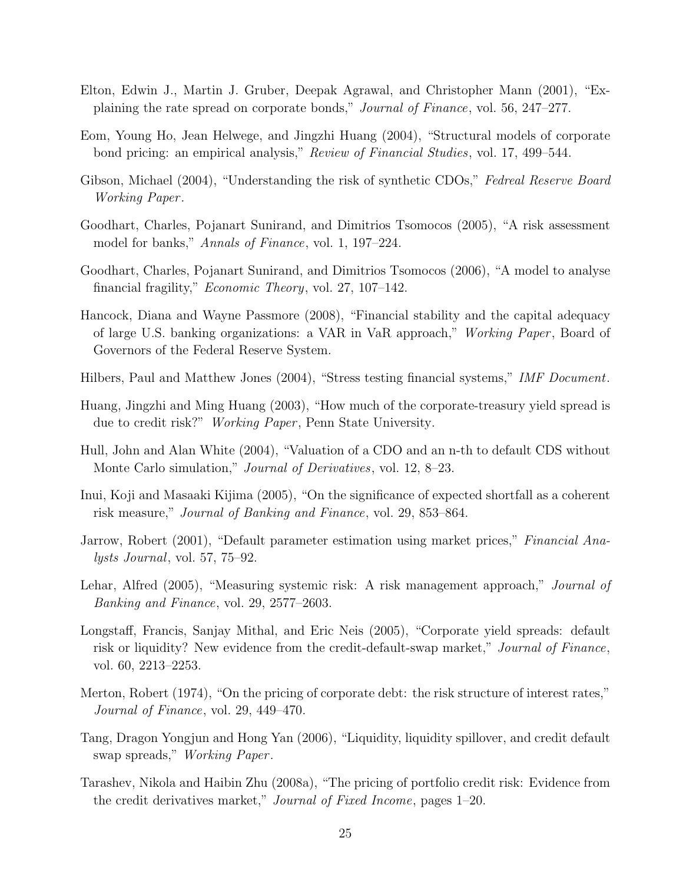- Elton, Edwin J., Martin J. Gruber, Deepak Agrawal, and Christopher Mann (2001), "Explaining the rate spread on corporate bonds," Journal of Finance, vol. 56, 247–277.
- Eom, Young Ho, Jean Helwege, and Jingzhi Huang (2004), "Structural models of corporate bond pricing: an empirical analysis," Review of Financial Studies, vol. 17, 499–544.
- Gibson, Michael (2004), "Understanding the risk of synthetic CDOs," Fedreal Reserve Board Working Paper .
- Goodhart, Charles, Pojanart Sunirand, and Dimitrios Tsomocos (2005), "A risk assessment model for banks," Annals of Finance, vol. 1, 197–224.
- Goodhart, Charles, Pojanart Sunirand, and Dimitrios Tsomocos (2006), "A model to analyse financial fragility," Economic Theory, vol. 27, 107–142.
- Hancock, Diana and Wayne Passmore (2008), "Financial stability and the capital adequacy of large U.S. banking organizations: a VAR in VaR approach," Working Paper , Board of Governors of the Federal Reserve System.
- Hilbers, Paul and Matthew Jones (2004), "Stress testing financial systems," IMF Document.
- Huang, Jingzhi and Ming Huang (2003), "How much of the corporate-treasury yield spread is due to credit risk?" Working Paper, Penn State University.
- Hull, John and Alan White (2004), "Valuation of a CDO and an n-th to default CDS without Monte Carlo simulation," *Journal of Derivatives*, vol. 12, 8–23.
- Inui, Koji and Masaaki Kijima (2005), "On the significance of expected shortfall as a coherent risk measure," Journal of Banking and Finance, vol. 29, 853–864.
- Jarrow, Robert (2001), "Default parameter estimation using market prices," Financial Analysts Journal, vol. 57, 75–92.
- Lehar, Alfred (2005), "Measuring systemic risk: A risk management approach," Journal of Banking and Finance, vol. 29, 2577–2603.
- Longstaff, Francis, Sanjay Mithal, and Eric Neis (2005), "Corporate yield spreads: default risk or liquidity? New evidence from the credit-default-swap market," Journal of Finance, vol. 60, 2213–2253.
- Merton, Robert (1974), "On the pricing of corporate debt: the risk structure of interest rates," Journal of Finance, vol. 29, 449–470.
- Tang, Dragon Yongjun and Hong Yan (2006), "Liquidity, liquidity spillover, and credit default swap spreads," Working Paper.
- Tarashev, Nikola and Haibin Zhu (2008a), "The pricing of portfolio credit risk: Evidence from the credit derivatives market," Journal of Fixed Income, pages 1–20.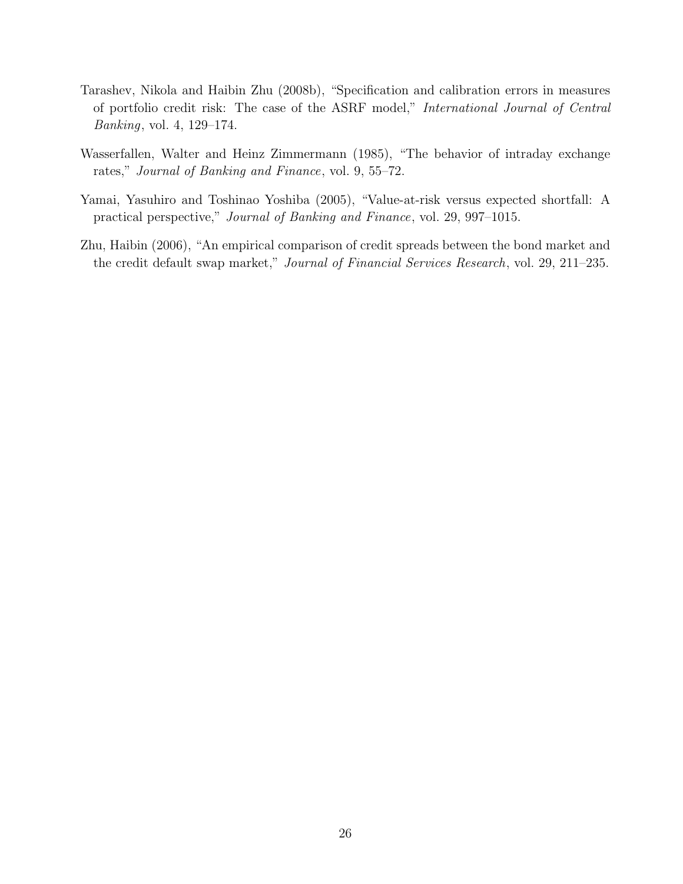- Tarashev, Nikola and Haibin Zhu (2008b), "Specification and calibration errors in measures of portfolio credit risk: The case of the ASRF model," International Journal of Central Banking, vol. 4, 129–174.
- Wasserfallen, Walter and Heinz Zimmermann (1985), "The behavior of intraday exchange rates," Journal of Banking and Finance, vol. 9, 55–72.
- Yamai, Yasuhiro and Toshinao Yoshiba (2005), "Value-at-risk versus expected shortfall: A practical perspective," Journal of Banking and Finance, vol. 29, 997–1015.
- Zhu, Haibin (2006), "An empirical comparison of credit spreads between the bond market and the credit default swap market," Journal of Financial Services Research, vol. 29, 211–235.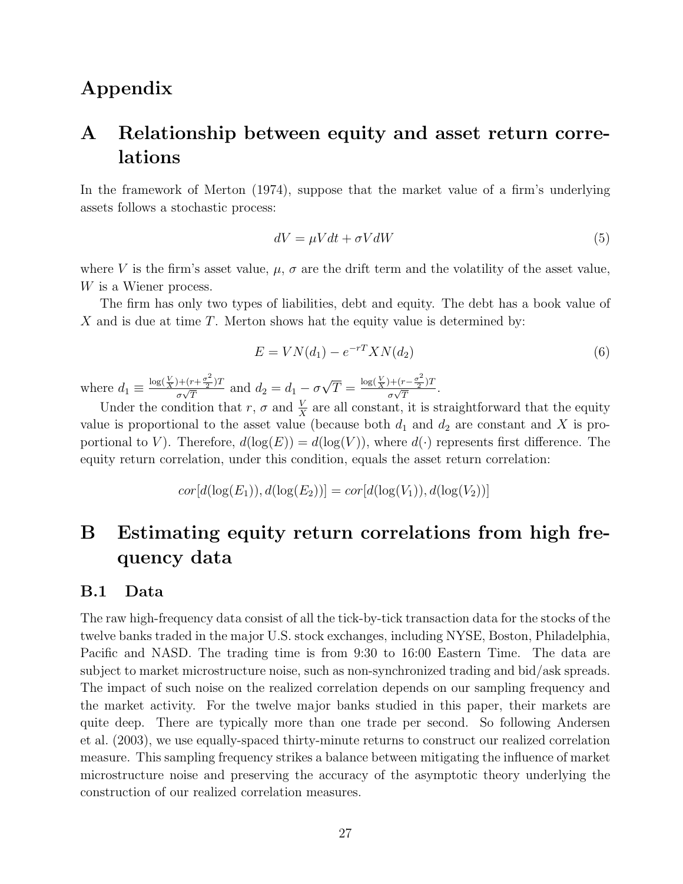# Appendix

# A Relationship between equity and asset return correlations

In the framework of Merton (1974), suppose that the market value of a firm's underlying assets follows a stochastic process:

$$
dV = \mu V dt + \sigma V dW \tag{5}
$$

where V is the firm's asset value,  $\mu$ ,  $\sigma$  are the drift term and the volatility of the asset value, W is a Wiener process.

The firm has only two types of liabilities, debt and equity. The debt has a book value of X and is due at time  $T$ . Merton shows hat the equity value is determined by:

$$
E = VN(d_1) - e^{-rT}XN(d_2)
$$
\n
$$
(6)
$$

where  $d_1 \equiv \frac{\log(\frac{V}{X}) + (r + \frac{\sigma^2}{2})}{\sigma\sqrt{T}}$  $(\frac{r}{2})$ T  $\frac{\partial+(r+\frac{\sigma^2}{2})T}{\partial\sqrt{T}}$  and  $d_2=d_1-\sigma\sqrt{T}=\frac{\log(\frac{V}{X})+(r-\frac{\sigma^2}{2})T}{\sigma\sqrt{T}}$  $(\frac{r}{2})$  $rac{(\tau - \frac{1}{2})^T}{\sigma \sqrt{T}}$ .

Under the condition that r,  $\sigma$  and  $\frac{V}{X}$  are all constant, it is straightforward that the equity value is proportional to the asset value (because both  $d_1$  and  $d_2$  are constant and X is proportional to V). Therefore,  $d(\log(E)) = d(\log(V))$ , where  $d(\cdot)$  represents first difference. The equity return correlation, under this condition, equals the asset return correlation:

$$
cor[d(\log(E_1)), d(\log(E_2))] = cor[d(\log(V_1)), d(\log(V_2))]
$$

# B Estimating equity return correlations from high frequency data

### B.1 Data

The raw high-frequency data consist of all the tick-by-tick transaction data for the stocks of the twelve banks traded in the major U.S. stock exchanges, including NYSE, Boston, Philadelphia, Pacific and NASD. The trading time is from 9:30 to 16:00 Eastern Time. The data are subject to market microstructure noise, such as non-synchronized trading and bid/ask spreads. The impact of such noise on the realized correlation depends on our sampling frequency and the market activity. For the twelve major banks studied in this paper, their markets are quite deep. There are typically more than one trade per second. So following Andersen et al. (2003), we use equally-spaced thirty-minute returns to construct our realized correlation measure. This sampling frequency strikes a balance between mitigating the influence of market microstructure noise and preserving the accuracy of the asymptotic theory underlying the construction of our realized correlation measures.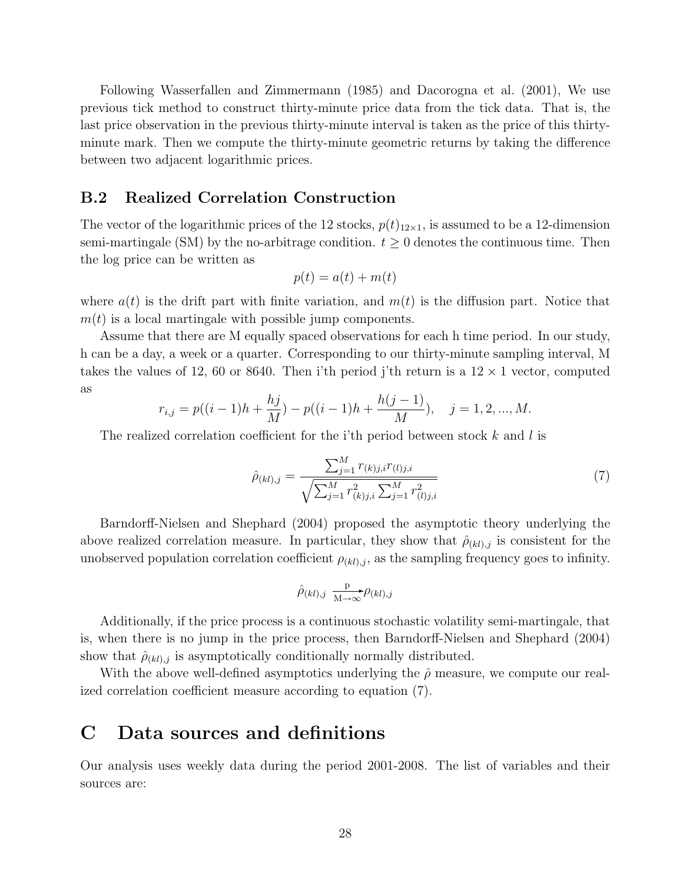Following Wasserfallen and Zimmermann (1985) and Dacorogna et al. (2001), We use previous tick method to construct thirty-minute price data from the tick data. That is, the last price observation in the previous thirty-minute interval is taken as the price of this thirtyminute mark. Then we compute the thirty-minute geometric returns by taking the difference between two adjacent logarithmic prices.

### B.2 Realized Correlation Construction

The vector of the logarithmic prices of the 12 stocks,  $p(t)_{12\times1}$ , is assumed to be a 12-dimension semi-martingale (SM) by the no-arbitrage condition.  $t \geq 0$  denotes the continuous time. Then the log price can be written as

$$
p(t) = a(t) + m(t)
$$

where  $a(t)$  is the drift part with finite variation, and  $m(t)$  is the diffusion part. Notice that  $m(t)$  is a local martingale with possible jump components.

Assume that there are M equally spaced observations for each h time period. In our study, h can be a day, a week or a quarter. Corresponding to our thirty-minute sampling interval, M takes the values of 12, 60 or 8640. Then i'th period j'th return is a  $12 \times 1$  vector, computed as

$$
r_{i,j} = p((i-1)h + \frac{hj}{M}) - p((i-1)h + \frac{h(j-1)}{M}), \quad j = 1, 2, ..., M.
$$

The realized correlation coefficient for the i'th period between stock  $k$  and l is

$$
\hat{\rho}_{(kl),j} = \frac{\sum_{j=1}^{M} r_{(k)j,i} r_{(l)j,i}}{\sqrt{\sum_{j=1}^{M} r_{(k)j,i}^2 \sum_{j=1}^{M} r_{(l)j,i}^2}}
$$
(7)

Barndorff-Nielsen and Shephard (2004) proposed the asymptotic theory underlying the above realized correlation measure. In particular, they show that  $\hat{\rho}_{(kl),j}$  is consistent for the unobserved population correlation coefficient  $\rho_{(kl),j}$ , as the sampling frequency goes to infinity.

$$
\hat{\rho}_{(kl),j} \xrightarrow[M \to \infty]{\mathbf{p}} \rho_{(kl),j}
$$

Additionally, if the price process is a continuous stochastic volatility semi-martingale, that is, when there is no jump in the price process, then Barndorff-Nielsen and Shephard (2004) show that  $\hat{\rho}_{(kl),j}$  is asymptotically conditionally normally distributed.

With the above well-defined asymptotics underlying the  $\hat{\rho}$  measure, we compute our realized correlation coefficient measure according to equation (7).

# C Data sources and definitions

Our analysis uses weekly data during the period 2001-2008. The list of variables and their sources are: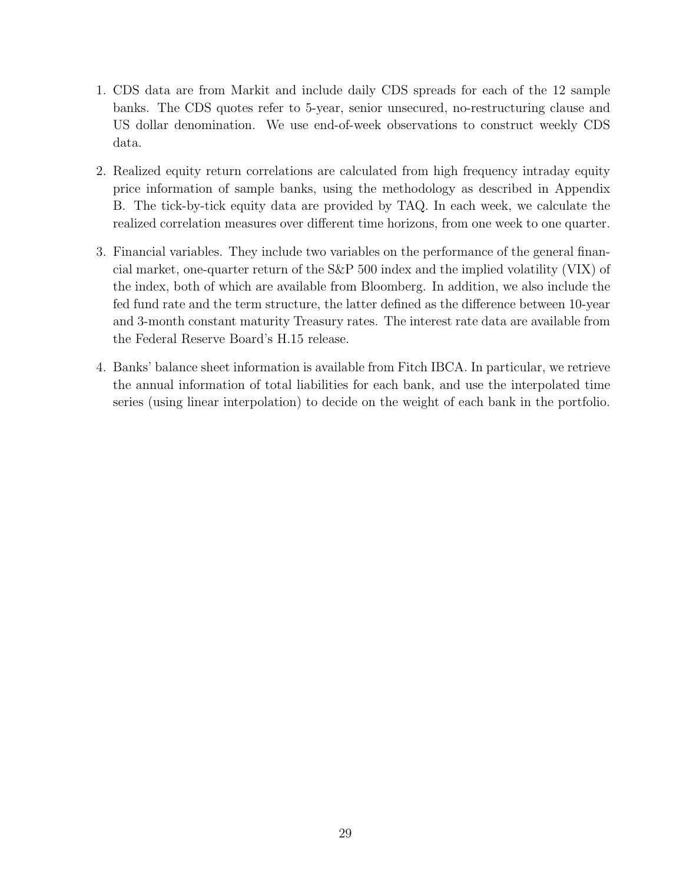- 1. CDS data are from Markit and include daily CDS spreads for each of the 12 sample banks. The CDS quotes refer to 5-year, senior unsecured, no-restructuring clause and US dollar denomination. We use end-of-week observations to construct weekly CDS data.
- 2. Realized equity return correlations are calculated from high frequency intraday equity price information of sample banks, using the methodology as described in Appendix B. The tick-by-tick equity data are provided by TAQ. In each week, we calculate the realized correlation measures over different time horizons, from one week to one quarter.
- 3. Financial variables. They include two variables on the performance of the general financial market, one-quarter return of the S&P 500 index and the implied volatility (VIX) of the index, both of which are available from Bloomberg. In addition, we also include the fed fund rate and the term structure, the latter defined as the difference between 10-year and 3-month constant maturity Treasury rates. The interest rate data are available from the Federal Reserve Board's H.15 release.
- 4. Banks' balance sheet information is available from Fitch IBCA. In particular, we retrieve the annual information of total liabilities for each bank, and use the interpolated time series (using linear interpolation) to decide on the weight of each bank in the portfolio.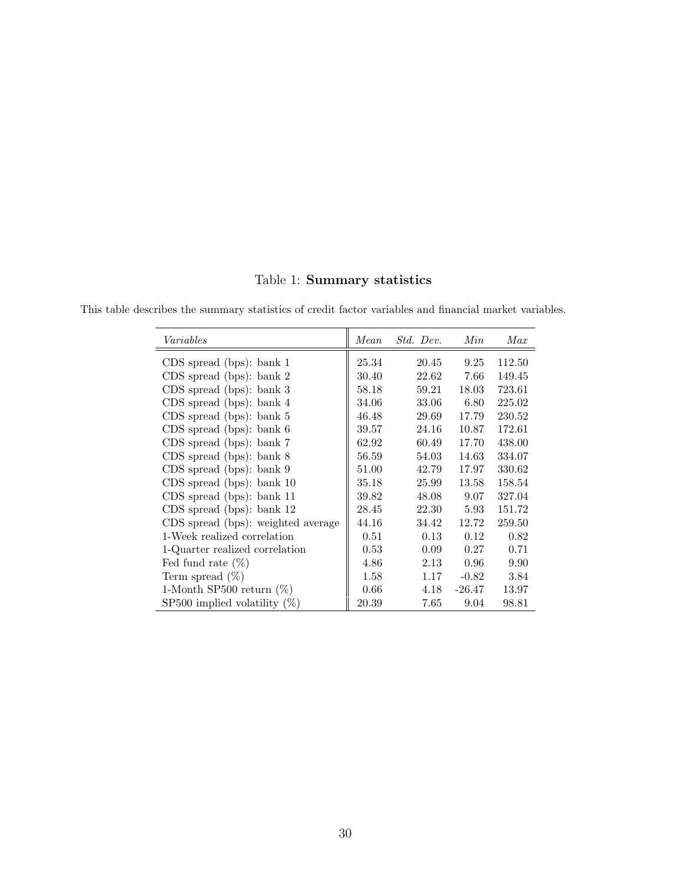Table 1: Summary statistics

| $\it Variables$                    | Mean  | Std. Dev. | Min     | Max    |
|------------------------------------|-------|-----------|---------|--------|
| $CDS$ spread (bps): bank 1         | 25.34 | 20.45     | 9.25    | 112.50 |
| $CDS$ spread (bps): bank 2         | 30.40 | 22.62     | 7.66    | 149.45 |
| $CDS$ spread (bps): bank 3         | 58.18 | 59.21     | 18.03   | 723.61 |
| $CDS$ spread (bps): bank 4         | 34.06 | 33.06     | 6.80    | 225.02 |
| $CDS$ spread (bps): bank 5         | 46.48 | 29.69     | 17.79   | 230.52 |
| $CDS$ spread (bps): bank $6$       | 39.57 | 24.16     | 10.87   | 172.61 |
| CDS spread (bps): bank 7           | 62.92 | 60.49     | 17.70   | 438.00 |
| CDS spread (bps): bank 8           | 56.59 | 54.03     | 14.63   | 334.07 |
| $CDS$ spread (bps): bank $9$       | 51.00 | 42.79     | 17.97   | 330.62 |
| $CDS$ spread (bps): bank 10        | 35.18 | 25.99     | 13.58   | 158.54 |
| $CDS$ spread (bps): bank 11        | 39.82 | 48.08     | 9.07    | 327.04 |
| $CDS$ spread (bps): bank 12        | 28.45 | 22.30     | 5.93    | 151.72 |
| CDS spread (bps): weighted average | 44.16 | 34.42     | 12.72   | 259.50 |
| 1-Week realized correlation        | 0.51  | 0.13      | 0.12    | 0.82   |
| 1-Quarter realized correlation     | 0.53  | 0.09      | 0.27    | 0.71   |
| Fed fund rate $(\%)$               | 4.86  | 2.13      | 0.96    | 9.90   |
| Term spread $(\%)$                 | 1.58  | 1.17      | $-0.82$ | 3.84   |
| 1-Month SP500 return $(\%)$        | 0.66  | 4.18      | -26.47  | 13.97  |
| SP500 implied volatility $(\%)$    | 20.39 | 7.65      | 9.04    | 98.81  |

This table describes the summary statistics of credit factor variables and financial market variables.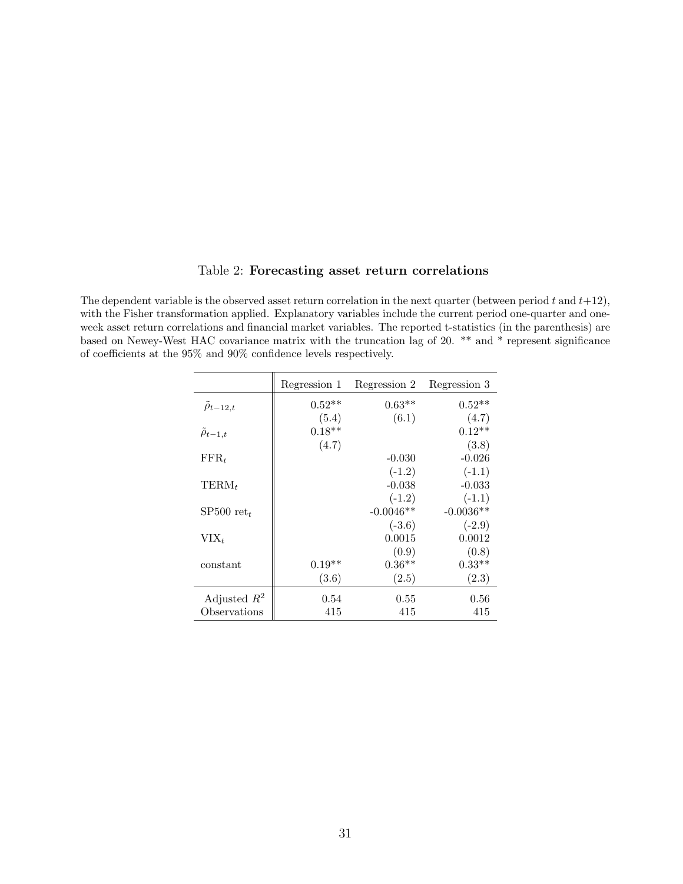#### Table 2: Forecasting asset return correlations

The dependent variable is the observed asset return correlation in the next quarter (between period  $t$  and  $t+12$ ), with the Fisher transformation applied. Explanatory variables include the current period one-quarter and oneweek asset return correlations and financial market variables. The reported t-statistics (in the parenthesis) are based on Newey-West HAC covariance matrix with the truncation lag of 20. \*\* and \* represent significance of coefficients at the 95% and 90% confidence levels respectively.

|                        | Regression 1 | Regression 2 | Regression 3 |
|------------------------|--------------|--------------|--------------|
| $\ddot{\rho}_{t-12,t}$ | $0.52**$     | $0.63**$     | $0.52**$     |
|                        | (5.4)        | (6.1)        | (4.7)        |
| $\tilde{\rho}_{t-1,t}$ | $0.18**$     |              | $0.12**$     |
|                        | (4.7)        |              | (3.8)        |
| $\text{FFR}_t$         |              | $-0.030$     | $-0.026$     |
|                        |              | $(-1.2)$     | $(-1.1)$     |
| $TERM_t$               |              | $-0.038$     | $-0.033$     |
|                        |              | $(-1.2)$     | $(-1.1)$     |
| SP500 $ret_t$          |              | $-0.0046**$  | $-0.0036**$  |
|                        |              | $(-3.6)$     | $(-2.9)$     |
| $VIX_t$                |              | 0.0015       | 0.0012       |
|                        |              | (0.9)        | (0.8)        |
| constant               | $0.19**$     | $0.36**$     | $0.33**$     |
|                        | (3.6)        | (2.5)        | (2.3)        |
| Adjusted $R^2$         | 0.54         | 0.55         | 0.56         |
| Observations           | 415          | 415          | 415          |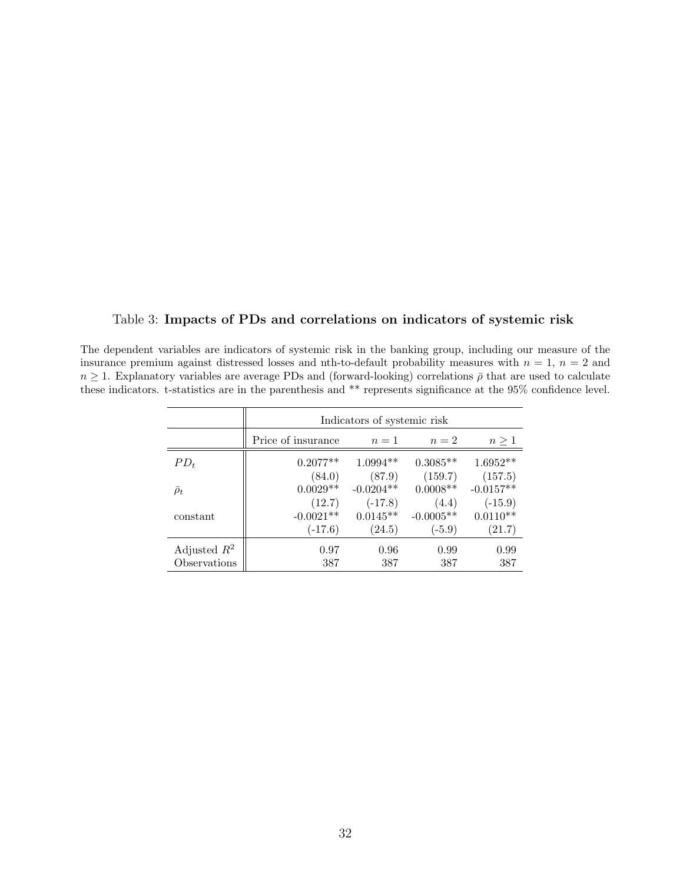### Table 3: Impacts of PDs and correlations on indicators of systemic risk

The dependent variables are indicators of systemic risk in the banking group, including our measure of the insurance premium against distressed losses and nth-to-default probability measures with  $n = 1$ ,  $n = 2$  and  $n \geq 1$ . Explanatory variables are average PDs and (forward-looking) correlations  $\bar{\rho}$  that are used to calculate these indicators. t-statistics are in the parenthesis and \*\* represents significance at the  $95\%$  confidence level.

|                     | Indicators of systemic risk |             |             |             |  |  |  |  |
|---------------------|-----------------------------|-------------|-------------|-------------|--|--|--|--|
|                     | Price of insurance          | $n=1$       | $n=2$       | $n \geq 1$  |  |  |  |  |
| $PD_t$              | $0.2077**$                  | $1.0994**$  | $0.3085**$  | $1.6952**$  |  |  |  |  |
|                     | (84.0)                      | (87.9)      | (159.7)     | (157.5)     |  |  |  |  |
| $\overline{\rho}_t$ | $0.0029**$                  | $-0.0204**$ | $0.0008**$  | $-0.0157**$ |  |  |  |  |
|                     | (12.7)                      | $(-17.8)$   | (4.4)       | $(-15.9)$   |  |  |  |  |
| constant            | $-0.0021**$                 | $0.0145**$  | $-0.0005**$ | $0.0110**$  |  |  |  |  |
|                     | $(-17.6)$                   | (24.5)      | $(-5.9)$    | (21.7)      |  |  |  |  |
| Adjusted $R^2$      | 0.97                        | 0.96        | 0.99        | 0.99        |  |  |  |  |
| Observations        | 387                         | 387         | 387         | 387         |  |  |  |  |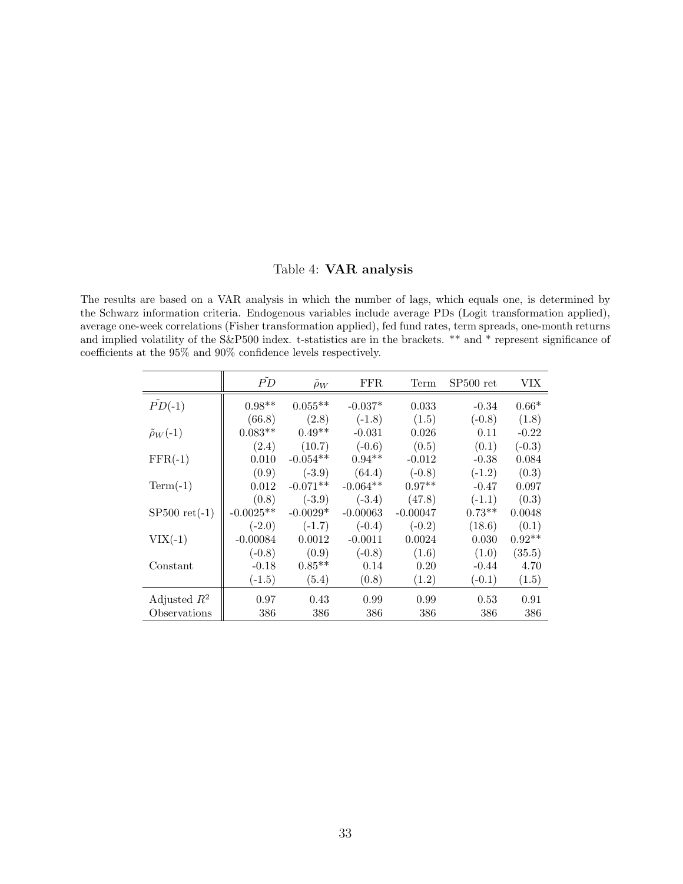### Table 4: VAR analysis

The results are based on a VAR analysis in which the number of lags, which equals one, is determined by the Schwarz information criteria. Endogenous variables include average PDs (Logit transformation applied), average one-week correlations (Fisher transformation applied), fed fund rates, term spreads, one-month returns and implied volatility of the S&P500 index. t-statistics are in the brackets. \*\* and \* represent significance of coefficients at the 95% and 90% confidence levels respectively.

|                         | $\tilde{PD}$ | $\rho_W$   | FFR.       | Term       | $SP500$ ret | VIX      |
|-------------------------|--------------|------------|------------|------------|-------------|----------|
| $\tilde{PD}(-1)$        | $0.98**$     | $0.055**$  | $-0.037*$  | 0.033      | $-0.34$     | $0.66*$  |
|                         | (66.8)       | (2.8)      | $(-1.8)$   | (1.5)      | $(-0.8)$    | (1.8)    |
| $\tilde{\rho}_W(-1)$    | $0.083**$    | $0.49**$   | $-0.031$   | 0.026      | 0.11        | $-0.22$  |
|                         | (2.4)        | (10.7)     | $(-0.6)$   | (0.5)      | (0.1)       | $(-0.3)$ |
| $FFR(-1)$               | 0.010        | $-0.054**$ | $0.94**$   | $-0.012$   | $-0.38$     | 0.084    |
|                         | (0.9)        | $(-3.9)$   | (64.4)     | $(-0.8)$   | $(-1.2)$    | (0.3)    |
| $Term(-1)$              | 0.012        | $-0.071**$ | $-0.064**$ | $0.97**$   | $-0.47$     | 0.097    |
|                         | (0.8)        | $(-3.9)$   | $(-3.4)$   | (47.8)     | $(-1.1)$    | (0.3)    |
| $SP500 \text{ ret}(-1)$ | $-0.0025**$  | $-0.0029*$ | $-0.00063$ | $-0.00047$ | $0.73**$    | 0.0048   |
|                         | $(-2.0)$     | $(-1.7)$   | $(-0.4)$   | $(-0.2)$   | (18.6)      | (0.1)    |
| $VIX(-1)$               | $-0.00084$   | 0.0012     | $-0.0011$  | 0.0024     | 0.030       | $0.92**$ |
|                         | $(-0.8)$     | (0.9)      | $(-0.8)$   | (1.6)      | (1.0)       | (35.5)   |
| Constant                | $-0.18$      | $0.85**$   | 0.14       | 0.20       | $-0.44$     | 4.70     |
|                         | $(-1.5)$     | (5.4)      | (0.8)      | (1.2)      | $(-0.1)$    | (1.5)    |
| Adjusted $R^2$          | 0.97         | 0.43       | 0.99       | 0.99       | 0.53        | 0.91     |
| Observations            | 386          | 386        | 386        | 386        | 386         | 386      |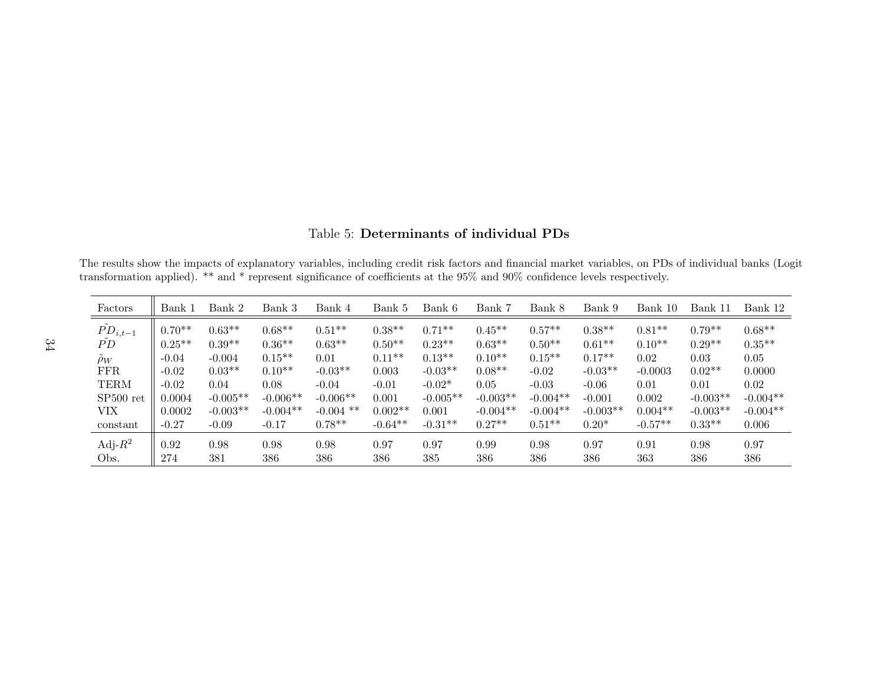| Factors              | Bank 1   | Bank 2     | Bank 3     | Bank 4      | Bank 5    | Bank 6     | Bank 7     | Bank 8     | Bank 9     | Bank 10   | Bank 11    | Bank 12    |
|----------------------|----------|------------|------------|-------------|-----------|------------|------------|------------|------------|-----------|------------|------------|
| $\tilde{PD}_{i,t-1}$ | $0.70**$ | $0.63**$   | $0.68**$   | $0.51***$   | $0.38**$  | $0.71***$  | $0.45**$   | $0.57**$   | $0.38**$   | $0.81**$  | $0.79**$   | $0.68**$   |
| Р̈́D                 | $0.25**$ | $0.39**$   | $0.36**$   | $0.63**$    | $0.50**$  | $0.23**$   | $0.63**$   | $0.50**$   | $0.61***$  | $0.10**$  | $0.29**$   | $0.35***$  |
| $\rho_W$             | $-0.04$  | $-0.004$   | $0.15**$   | 0.01        | $0.11***$ | $0.13**$   | $0.10**$   | $0.15***$  | $0.17**$   | 0.02      | 0.03       | 0.05       |
| <b>FFR</b>           | $-0.02$  | $0.03**$   | $0.10**$   | $-0.03**$   | 0.003     | $-0.03**$  | $0.08**$   | $-0.02$    | $-0.03**$  | $-0.0003$ | $0.02**$   | 0.0000     |
| <b>TERM</b>          | $-0.02$  | 0.04       | 0.08       | $-0.04$     | $-0.01$   | $-0.02*$   | 0.05       | $-0.03$    | $-0.06$    | 0.01      | 0.01       | 0.02       |
| $SP500$ ret          | 0.0004   | $-0.005**$ | $-0.006**$ | $-0.006**$  | 0.001     | $-0.005**$ | $-0.003**$ | $-0.004**$ | $-0.001$   | 0.002     | $-0.003**$ | $-0.004**$ |
| VIX                  | 0.0002   | $-0.003**$ | $-0.004**$ | $-0.004$ ** | $0.002**$ | 0.001      | $-0.004**$ | $-0.004**$ | $-0.003**$ | $0.004**$ | $-0.003**$ | $-0.004**$ |
| constant             | $-0.27$  | $-0.09$    | $-0.17$    | $0.78**$    | $-0.64**$ | $-0.31**$  | $0.27**$   | $0.51***$  | $0.20*$    | $-0.57**$ | $0.33***$  | 0.006      |
| Adj- $R^2$           | 0.92     | 0.98       | 0.98       | 0.98        | 0.97      | 0.97       | 0.99       | 0.98       | 0.97       | 0.91      | 0.98       | 0.97       |
| Obs.                 | 274      | 381        | 386        | 386         | 386       | 385        | 386        | 386        | 386        | 363       | 386        | 386        |

Table 5: Determinants of individual PDs

The results show the impacts of explanatory variables, including credit risk factors and financial market variables, on PDs of individual banks (Logittransformation applied). \*\* and \* represent significance of coefficients at the 95% and 90% confidence levels respectively.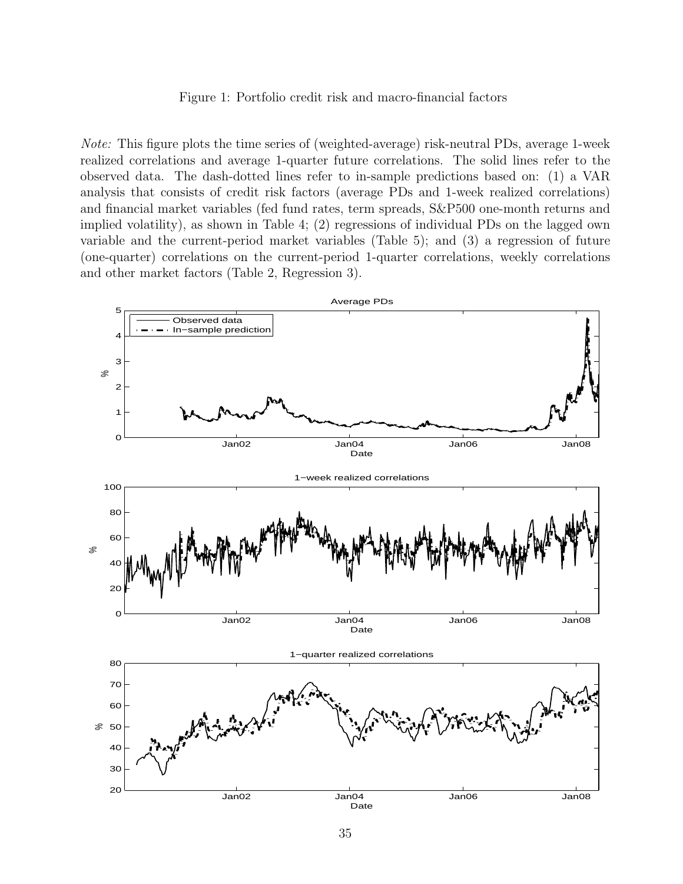#### Figure 1: Portfolio credit risk and macro-financial factors

Note: This figure plots the time series of (weighted-average) risk-neutral PDs, average 1-week realized correlations and average 1-quarter future correlations. The solid lines refer to the observed data. The dash-dotted lines refer to in-sample predictions based on: (1) a VAR analysis that consists of credit risk factors (average PDs and 1-week realized correlations) and financial market variables (fed fund rates, term spreads, S&P500 one-month returns and implied volatility), as shown in Table 4; (2) regressions of individual PDs on the lagged own variable and the current-period market variables (Table 5); and (3) a regression of future (one-quarter) correlations on the current-period 1-quarter correlations, weekly correlations and other market factors (Table 2, Regression 3).

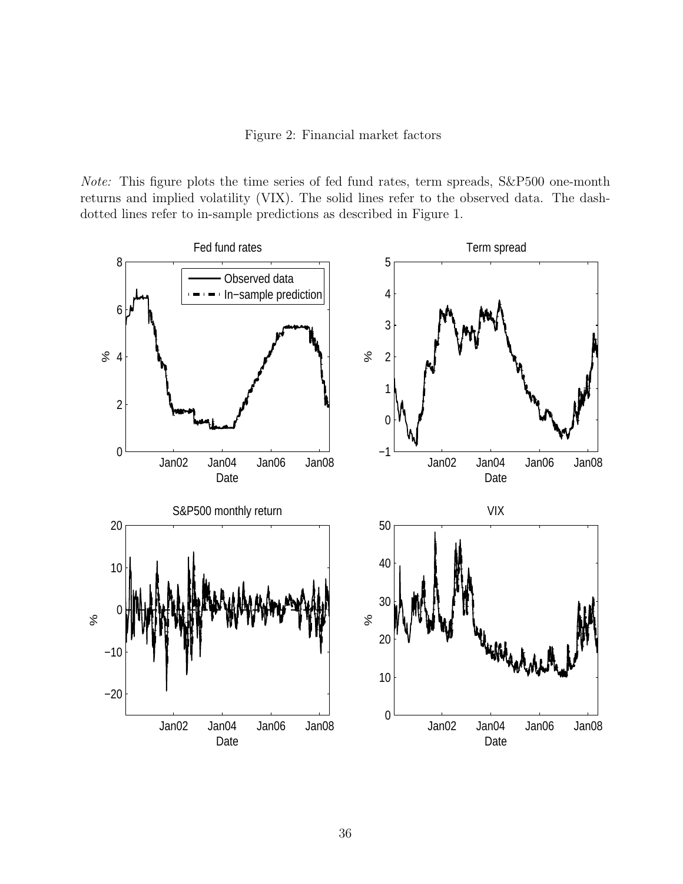Figure 2: Financial market factors

Note: This figure plots the time series of fed fund rates, term spreads, S&P500 one-month returns and implied volatility (VIX). The solid lines refer to the observed data. The dashdotted lines refer to in-sample predictions as described in Figure 1.

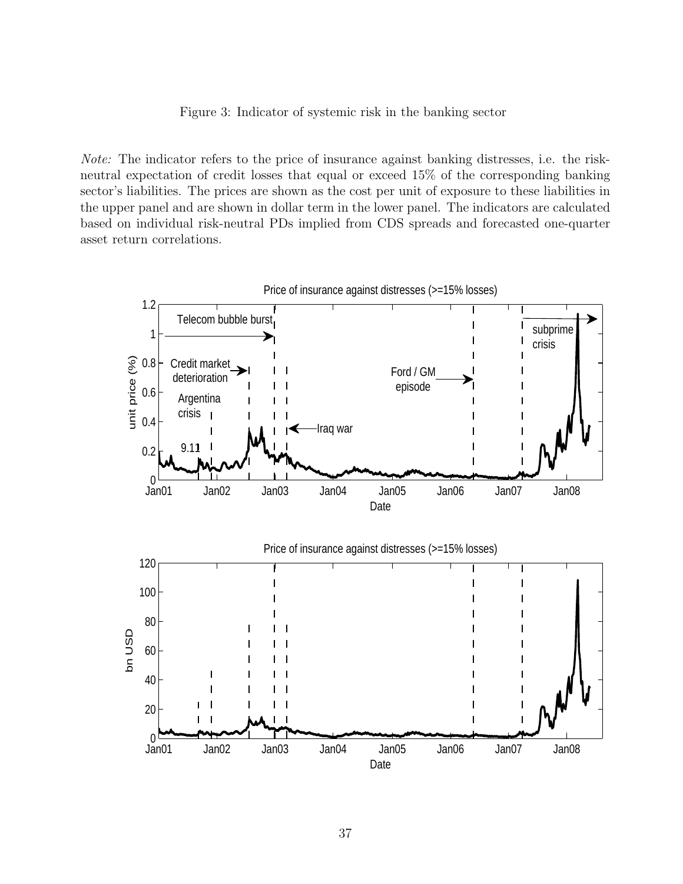Figure 3: Indicator of systemic risk in the banking sector

Note: The indicator refers to the price of insurance against banking distresses, i.e. the riskneutral expectation of credit losses that equal or exceed 15% of the corresponding banking sector's liabilities. The prices are shown as the cost per unit of exposure to these liabilities in the upper panel and are shown in dollar term in the lower panel. The indicators are calculated based on individual risk-neutral PDs implied from CDS spreads and forecasted one-quarter asset return correlations.

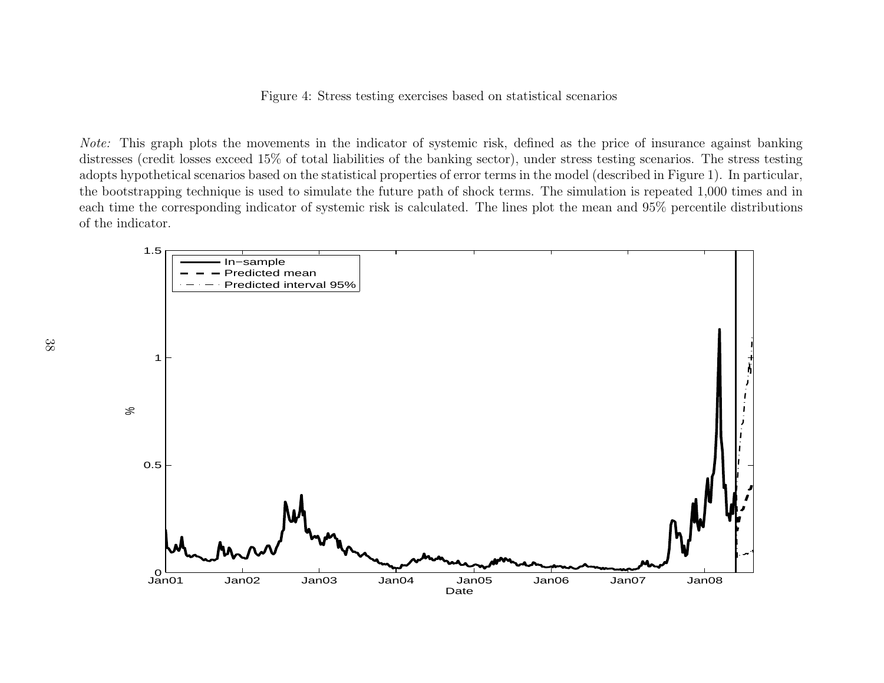Figure 4: Stress testing exercises based on statistical scenarios

Note: This grap<sup>h</sup> <sup>p</sup>lots the movements in the indicator of systemic risk, defined as the price of insurance against banking distresses (credit losses exceed 15% of total liabilities of the banking sector), under stress testing scenarios. The stress testing adopts hypothetical scenarios based on the statistical properties of error terms in the model (described in Figure 1). In particular, the bootstrapping technique is used to simulate the future path of shock terms. The simulation is repeated 1,000 times and in each time the corresponding indicator of systemic risk is calculated. The lines <sup>p</sup>lot the mean and 95% percentile distributionsof the indicator.

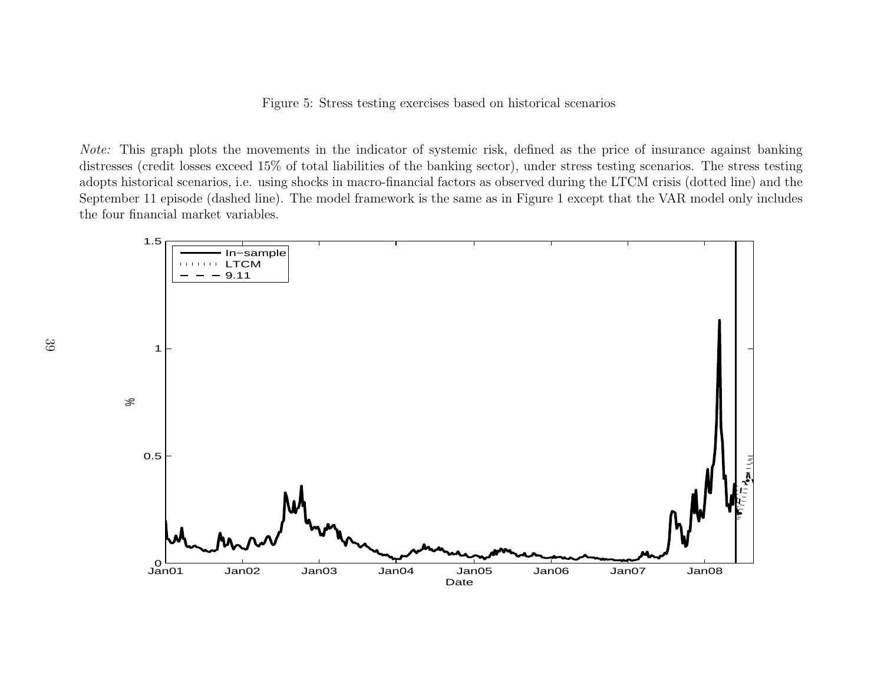Figure 5: Stress testing exercises based on historical scenarios

Note: This grap<sup>h</sup> <sup>p</sup>lots the movements in the indicator of systemic risk, defined as the price of insurance against banking distresses (credit losses exceed 15% of total liabilities of the banking sector), under stress testing scenarios. The stress testing adopts historical scenarios, i.e. using shocks in macro-financial factors as observed during the LTCM crisis (dotted line) and the September <sup>11</sup> episode (dashed line). The model framework is the same as in Figure <sup>1</sup> except that the VAR model only includes the four financial market variables.